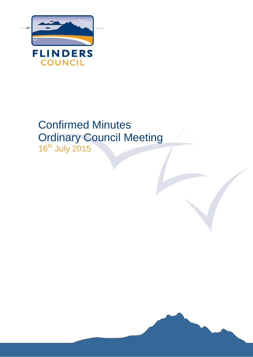

# Confirmed Minutes Ordinary Council Meeting 16<sup>th</sup> July 2015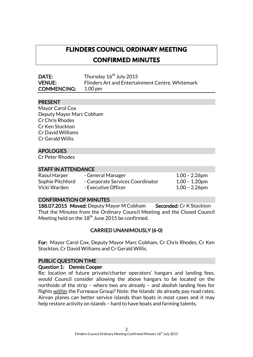# **FLINDERS COUNCIL ORDINARY MEETING CONFIRMED MINUTES**

| <b>DATE:</b>       | Thursday 16 <sup>th</sup> July 2015              |
|--------------------|--------------------------------------------------|
| <b>VENUE:</b>      | Flinders Art and Entertainment Centre, Whitemark |
| <b>COMMENCING:</b> | 1.00 pm                                          |

# PRESENT

Mayor Carol Cox Deputy Mayor Marc Cobham Cr Chris Rhodes Cr Ken Stockton Cr David Williams Cr Gerald Willis

# APOLOGIES

Cr Peter Rhodes

#### STAFF IN ATTENDANCE

| Raoul Harper     | - General Manager                | $1.00 - 2.26$ pm |
|------------------|----------------------------------|------------------|
| Sophie Pitchford | - Corporate Services Coordinator | $1.00 - 1.20$ pm |
| Vicki Warden     | - Executive Officer              | $1.00 - 2.26$ pm |

#### CONFIRMATION OF MINUTES

188.07.2015 Moved: Deputy Mayor M Cobham Seconded: Cr K Stockton That the Minutes from the Ordinary Council Meeting and the Closed Council Meeting held on the  $18^{\rm th}$  June 2015 be confirmed.

# CARRIED UNANIMOUSLY (6-0)

For: Mayor Carol Cox, Deputy Mayor Marc Cobham, Cr Chris Rhodes, Cr Ken Stockton, Cr David Williams and Cr Gerald Willis.

#### PUBLIC QUESTION TIME

#### Question 1: Dennis Cooper

Re: location of future private/charter operators' hangars and landing fees, would Council consider allowing the above hangars to be located on the northside of the strip – where two are already – and abolish landing fees for flights within the Furneaux Group? Note: the Islands' do already pay road rates; Airvan planes can better service islands than boats in most cases and it may help restore activity on islands – hard to have boats and farming talents.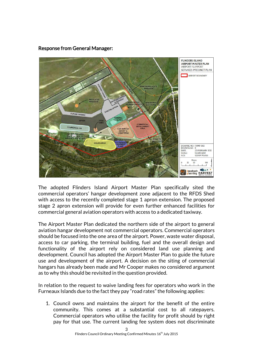# **FLINDERS ISLAND AIRPORT MASTER PLAN AIRPORT SUPPORT** SERVICES PRECINCT PLAN AIRPORT BOUNDARY FUTURE TAXIM DRAWING NO: FIAMP-003 **REVISION NO:** E<br>23 FEBRUARY 2012 **DATE:** SCALE: 1:2,500 @A4<br>GDA94 MGA55 GCS 50  $\mathbf{I}$ **kneebush HARVEST**

# Response from General Manager:

The adopted Flinders Island Airport Master Plan specifically sited the commercial operators' hangar development zone adjacent to the RFDS Shed with access to the recently completed stage 1 apron extension. The proposed stage 2 apron extension will provide for even further enhanced facilities for commercial general aviation operators with access to a dedicated taxiway.

The Airport Master Plan dedicated the northern side of the airport to general aviation hangar development not commercial operators. Commercial operators should be focused into the one area of the airport. Power, waste water disposal, access to car parking, the terminal building, fuel and the overall design and functionality of the airport rely on considered land use planning and development. Council has adopted the Airport Master Plan to guide the future use and development of the airport. A decision on the siting of commercial hangars has already been made and Mr Cooper makes no considered argument as to why this should be revisited in the question provided.

In relation to the request to waive landing fees for operators who work in the Furneaux Islands due to the fact they pay "road rates" the following applies:

1. Council owns and maintains the airport for the benefit of the entire community. This comes at a substantial cost to all ratepayers. Commercial operators who utilise the facility for profit should by right pay for that use. The current landing fee system does not discriminate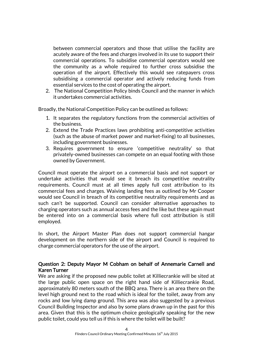between commercial operators and those that utilise the facility are acutely aware of the fees and charges involved in its use to support their commercial operations. To subsidise commercial operators would see the community as a whole required to further cross subsidise the operation of the airport. Effectively this would see ratepayers cross subsidising a commercial operator and actively reducing funds from essential services to the cost of operating the airport.

2. The National Competition Policy binds Council and the manner in which it undertakes commercial activities.

Broadly, the National Competition Policy can be outlined as follows:

- 1. It separates the regulatory functions from the commercial activities of the business.
- 2. Extend the Trade Practices laws prohibiting anti-competitive activities (such as the abuse of market power and market-fixing) to all businesses, including government businesses.
- 3. Requires government to ensure 'competitive neutrality' so that privately-owned businesses can compete on an equal footing with those owned by Government.

Council must operate the airport on a commercial basis and not support or undertake activities that would see it breach its competitive neutrality requirements. Council must at all times apply full cost attribution to its commercial fees and charges. Waiving landing fees as outlined by Mr Cooper would see Council in breach of its competitive neutrality requirements and as such can't be supported. Council can consider alternative approaches to charging operators such as annual access fees and the like but these again must be entered into on a commercial basis where full cost attribution is still employed.

In short, the Airport Master Plan does not support commercial hangar development on the northern side of the airport and Council is required to charge commercial operators for the use of the airport.

# Question 2: Deputy Mayor M Cobham on behalf of Annemarie Carnell and Karen Turner

We are asking if the proposed new public toilet at Killiecrankie will be sited at the large public open space on the right hand side of Killiecrankie Road, approximately 80 meters south of the BBQ area. There is an area there on the level high ground next to the road which is ideal for the toilet, away from any rocks and low lying damp ground. This area was also suggested by a previous Council Building Inspector and also by some plans drawn up in the past for this area. Given that this is the optimum choice geologically speaking for the new public toilet, could you tell us if this is where the toilet will be built?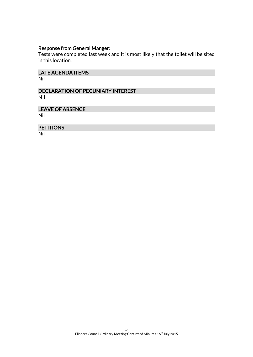# Response from General Manger:

Tests were completed last week and it is most likely that the toilet will be sited in this location.

LATE AGENDA ITEMS Nil

DECLARATION OF PECUNIARY INTEREST Nil

LEAVE OF ABSENCE Nil

PETITIONS

Nil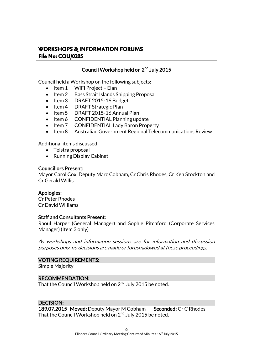# **WORKSHOPS & INFORMATION FORUMS File No: COU/0205**

# Council Workshop held on 2<sup>nd</sup> July 2015

Council held a Workshop on the following subjects:

- $\bullet$  Item 1 WiFi Project Elan
- Item 2 Bass Strait Islands Shipping Proposal
- Item 3 DRAFT 2015-16 Budget
- Item 4 DRAFT Strategic Plan
- Item 5 DRAFT 2015-16 Annual Plan
- Item 6 CONFIDENTIAL Planning update
- Item 7 CONFIDENTIAL Lady Baron Property
- Item 8 Australian Government Regional Telecommunications Review

Additional items discussed:

- Telstra proposal
- Running Display Cabinet

#### Councillors Present:

Mayor Carol Cox, Deputy Marc Cobham, Cr Chris Rhodes, Cr Ken Stockton and Cr Gerald Willis

#### Apologies:

Cr Peter Rhodes Cr David Williams

#### Staff and Consultants Present:

Raoul Harper (General Manager) and Sophie Pitchford (Corporate Services Manager) (Item 3 only)

As workshops and information sessions are for information and discussion purposes only, no decisions are made or foreshadowed at these proceedings.

#### VOTING REQUIREMENTS:

Simple Majority

#### RECOMMENDATION:

That the Council Workshop held on  $2^{\mathsf{nd}}$  July 2015 be noted.

#### DECISION:

189.07.2015 Moved: Deputy Mayor M Cobham Seconded: Cr C Rhodes That the Council Workshop held on  $2^{\mathsf{nd}}$  July 2015 be noted.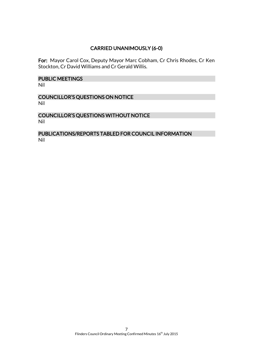# CARRIED UNANIMOUSLY (6-0)

For: Mayor Carol Cox, Deputy Mayor Marc Cobham, Cr Chris Rhodes, Cr Ken Stockton, Cr David Williams and Cr Gerald Willis.

# PUBLIC MEETINGS

Nil

# COUNCILLOR'S QUESTIONS ON NOTICE Nil

# COUNCILLOR'S QUESTIONS WITHOUT NOTICE Nil

# PUBLICATIONS/REPORTS TABLED FOR COUNCIL INFORMATION Nil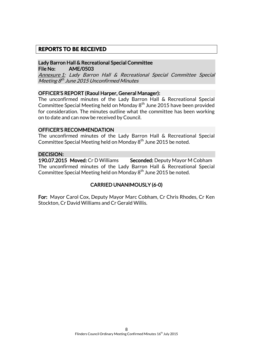# **REPORTS TO BE RECEIVED**

Lady Barron Hall & Recreational Special Committee File No: AME/0503

Annexure 1: Lady Barron Hall & Recreational Special Committee Special Meeting 8<sup>th</sup> June 2015 Unconfirmed Minutes

#### OFFICER'S REPORT (Raoul Harper, General Manager):

The unconfirmed minutes of the Lady Barron Hall & Recreational Special Committee Special Meeting held on Monday 8<sup>th</sup> June 2015 have been provided for consideration. The minutes outline what the committee has been working on to date and can now be received by Council.

#### OFFICER'S RECOMMENDATION

The unconfirmed minutes of the Lady Barron Hall & Recreational Special Committee Special Meeting held on Monday 8<sup>th</sup> June 2015 be noted.

#### DECISION:

190.07.2015 Moved: Cr D Williams Seconded: Deputy Mayor M Cobham The unconfirmed minutes of the Lady Barron Hall & Recreational Special Committee Special Meeting held on Monday 8<sup>th</sup> June 2015 be noted.

# CARRIED UNANIMOUSLY (6-0)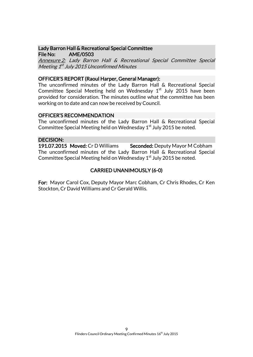#### Lady Barron Hall & Recreational Special Committee File No: AME/0503

Annexure 2: Lady Barron Hall & Recreational Special Committee Special Meeting 1<sup>st</sup> July 2015 Unconfirmed Minutes

#### OFFICER'S REPORT (Raoul Harper, General Manager):

The unconfirmed minutes of the Lady Barron Hall & Recreational Special Committee Special Meeting held on Wednesday  $1<sup>st</sup>$  July 2015 have been provided for consideration. The minutes outline what the committee has been working on to date and can now be received by Council.

#### OFFICER'S RECOMMENDATION

The unconfirmed minutes of the Lady Barron Hall & Recreational Special Committee Special Meeting held on Wednesday  $1<sup>st</sup>$  July 2015 be noted.

#### DECISION:

191.07.2015 Moved: Cr D Williams Seconded: Deputy Mayor M Cobham The unconfirmed minutes of the Lady Barron Hall & Recreational Special Committee Special Meeting held on Wednesday  $1<sup>st</sup>$  July 2015 be noted.

# CARRIED UNANIMOUSLY (6-0)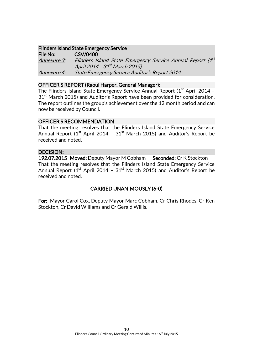# Flinders Island State Emergency Service

File No: CSV/0400 <u>Annexure 3:</u> Flinders Island State Emergency Service Annual Report (1<sup>st</sup> April 2014 – 31<sup>st</sup> March 2015) Annexure 4: State Emergency Service Auditor's Report 2014

# OFFICER'S REPORT (Raoul Harper, General Manager):

The Flinders Island State Emergency Service Annual Report  $(1<sup>st</sup>$  April 2014 –  $31<sup>st</sup>$  March 2015) and Auditor's Report have been provided for consideration. The report outlines the group's achievement over the 12 month period and can now be received by Council.

# OFFICER'S RECOMMENDATION

That the meeting resolves that the Flinders Island State Emergency Service Annual Report ( $1<sup>st</sup>$  April 2014 –  $31<sup>st</sup>$  March 2015) and Auditor's Report be received and noted.

# DECISION:

192.07.2015 Moved: Deputy Mayor M Cobham Seconded: Cr K Stockton That the meeting resolves that the Flinders Island State Emergency Service Annual Report ( $1<sup>st</sup>$  April 2014 –  $31<sup>st</sup>$  March 2015) and Auditor's Report be received and noted.

# CARRIED UNANIMOUSLY (6-0)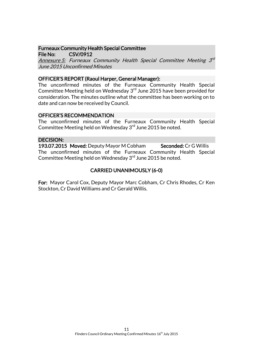#### Furneaux Community Health Special Committee File No: CSV/0912

Annexure 5: Furneaux Community Health Special Committee Meeting 3<sup>rd</sup> June 2015 Unconfirmed Minutes

# OFFICER'S REPORT (Raoul Harper, General Manager):

The unconfirmed minutes of the Furneaux Community Health Special Committee Meeting held on Wednesday 3<sup>rd</sup> June 2015 have been provided for consideration. The minutes outline what the committee has been working on to date and can now be received by Council.

# OFFICER'S RECOMMENDATION

The unconfirmed minutes of the Furneaux Community Health Special Committee Meeting held on Wednesday 3<sup>rd</sup> June 2015 be noted.

# DECISION:

193.07.2015 Moved: Deputy Mayor M Cobham Seconded: Cr G Willis The unconfirmed minutes of the Furneaux Community Health Special Committee Meeting held on Wednesday 3<sup>rd</sup> June 2015 be noted.

# CARRIED UNANIMOUSLY (6-0)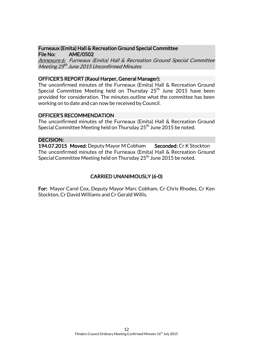#### Furneaux (Emita) Hall & Recreation Ground Special Committee File No: AME/0502

Annexure 6: Furneaux (Emita) Hall & Recreation Ground Special Committee Meeting 25<sup>th</sup> June 2015 Unconfirmed Minutes

# OFFICER'S REPORT (Raoul Harper, General Manager):

The unconfirmed minutes of the Furneaux (Emita) Hall & Recreation Ground Special Committee Meeting held on Thursday  $25<sup>th</sup>$  June 2015 have been provided for consideration. The minutes outline what the committee has been working on to date and can now be received by Council.

#### OFFICER'S RECOMMENDATION

The unconfirmed minutes of the Furneaux (Emita) Hall & Recreation Ground Special Committee Meeting held on Thursday  $25^{th}$  June 2015 be noted.

#### DECISION:

194.07.2015 Moved: Deputy Mayor M Cobham Seconded: Cr K Stockton The unconfirmed minutes of the Furneaux (Emita) Hall & Recreation Ground Special Committee Meeting held on Thursday  $25<sup>th</sup>$  June 2015 be noted.

# CARRIED UNANIMOUSLY (6-0)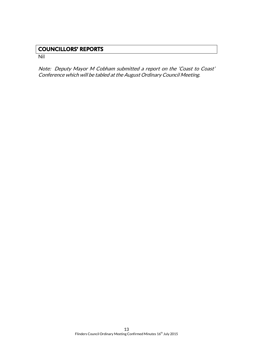# **COUNCILLORS' REPORTS**

Nil

Note: Deputy Mayor M Cobham submitted a report on the 'Coast to Coast' Conference which will be tabled at the August Ordinary Council Meeting.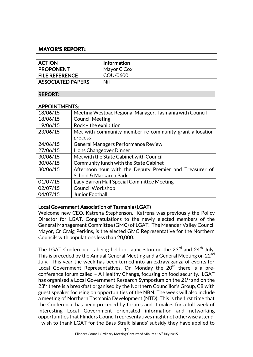# **MAYOR'S REPORT:**

| <b>ACTION</b>            | <b>Information</b> |
|--------------------------|--------------------|
| <b>PROPONENT</b>         | Mayor C Cox        |
| <b>FILE REFERENCE</b>    | COU/0600           |
| <b>ASSOCIATED PAPERS</b> | Nil                |

# REPORT:

#### APPOINTMENTS:

| 18/06/15 | Meeting Westpac Regional Manager, Tasmania with Council |
|----------|---------------------------------------------------------|
| 18/06/15 | <b>Council Meeting</b>                                  |
| 19/06/15 | Rock - the exhibition                                   |
| 23/06/15 | Met with community member re community grant allocation |
|          | process                                                 |
| 24/06/15 | <b>General Managers Performance Review</b>              |
| 27/06/15 | Lions Changeover Dinner                                 |
| 30/06/15 | Met with the State Cabinet with Council                 |
| 30/06/15 | Community lunch with the State Cabinet                  |
| 30/06/15 | Afternoon tour with the Deputy Premier and Treasurer of |
|          | School & Markarna Park                                  |
| 01/07/15 | Lady Barron Hall Special Committee Meeting              |
| 02/07/15 | <b>Council Workshop</b>                                 |
| 04/07/15 | Junior Football                                         |

# Local Government Association of Tasmania (LGAT)

Welcome new CEO, Katrena Stephenson. Katrena was previously the Policy Director for LGAT. Congratulations to the newly elected members of the General Management Committee (GMC) of LGAT. The Meander Valley Council Mayor, Cr Craig Perkins, is the elected GMC Representative for the Northern Councils with populations less than 20,000.

The LGAT Conference is being held in Launceston on the 23<sup>rd</sup> and 24<sup>th</sup> July. This is preceded by the Annual General Meeting and a General Meeting on 22<sup>nd</sup> July. This year the week has been turned into an extravaganza of events for Local Government Representatives. On Monday the 20<sup>th</sup> there is a preconference forum called – A Healthy Change, focusing on food security. LGAT has organised a Local Government Research Symposium on the 21<sup>st</sup> and on the  $23<sup>rd</sup>$  there is a breakfast organised by the Northern Councillor's Group, C8 with guest speaker focusing on opportunities of the NBN. The week will also include a meeting of Northern Tasmania Development (NTD). This is the first time that the Conference has been preceded by forums and it makes for a full week of interesting Local Government orientated information and networking opportunities that Flinders Council representatives might not otherwise attend. I wish to thank LGAT for the Bass Strait Islands' subsidy they have applied to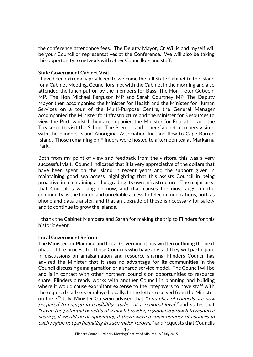the conference attendance fees. The Deputy Mayor, Cr Willis and myself will be your Councillor representatives at the Conference. We will also be taking this opportunity to network with other Councillors and staff.

#### State Government Cabinet Visit

I have been extremely privileged to welcome the full State Cabinet to the Island for a Cabinet Meeting. Councillors met with the Cabinet in the morning and also attended the lunch put on by the members for Bass, The Hon. Peter Gutwein MP, The Hon Michael Ferguson MP and Sarah Courtney MP. The Deputy Mayor then accompanied the Minister for Health and the Minister for Human Services on a tour of the Multi-Purpose Centre, the General Manager accompanied the Minister for Infrastructure and the Minister for Resources to view the Port, whilst I then accompanied the Minister for Education and the Treasurer to visit the School. The Premier and other Cabinet members visited with the Flinders Island Aboriginal Association Inc. and flew to Cape Barren Island. Those remaining on Flinders were hosted to afternoon tea at Markarna Park.

Both from my point of view and feedback from the visitors, this was a very successful visit. Council indicated that it is very appreciative of the dollars that have been spent on the Island in recent years and the support given in maintaining good sea access, highlighting that this assists Council in being proactive in maintaining and upgrading its own infrastructure. The major area that Council is working on now, and that causes the most angst in the community, is the limited and unreliable access to telecommunications, both as phone and data transfer, and that an upgrade of these is necessary for safety and to continue to grow the Islands.

I thank the Cabinet Members and Sarah for making the trip to Flinders for this historic event.

#### Local Government Reform

The Minister for Planning and Local Government has written outlining the next phase of the process for those Councils who have advised they will participate in discussions on amalgamation and resource sharing. Flinders Council has advised the Minister that it sees no advantage for its communities in the Council discussing amalgamation or a shared service model. The Council will be and is in contact with other northern councils on opportunities to resource share. Flinders already works with another Council in planning and building where it would cause exorbitant expense to the ratepayers to have staff with the required skill sets employed locally. In the letter received from the Minister on the 7<sup>th</sup> July, Minister Gutwein advised that *"a number of councils are now* prepared to engage in feasibility studies at a regional level." and states that "Given the potential benefits of a much broader, regional approach to resource sharing, it would be disappointing if there were a small number of councils in each region not participating in such major reform." and requests that Councils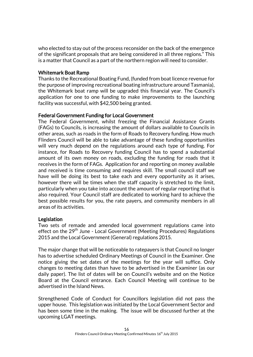who elected to stay out of the process reconsider on the back of the emergence of the significant proposals that are being considered in all three regions." This is a matter that Council as a part of the northern region will need to consider.

# Whitemark Boat Ramp

Thanks to the Recreational Boating Fund, (funded from boat licence revenue for the purpose of improving recreational boating infrastructure around Tasmania), the Whitemark boat ramp will be upgraded this financial year. The Council's application for one to one funding to make improvements to the launching facility was successful, with \$42,500 being granted.

# Federal Government Funding for Local Government

The Federal Government, whilst freezing the Financial Assistance Grants (FAGs) to Councils, is increasing the amount of dollars available to Councils in other areas, such as roads in the form of Roads to Recovery funding. How much Flinders Council will be able to take advantage of these funding opportunities will very much depend on the regulations around each type of funding. For instance, for Roads to Recovery funding Council has to spend a substantial amount of its own money on roads, excluding the funding for roads that it receives in the form of FAGs. Application for and reporting on money available and received is time consuming and requires skill. The small council staff we have will be doing its best to take each and every opportunity as it arises, however there will be times when the staff capacity is stretched to the limit, particularly when you take into account the amount of regular reporting that is also required. Your Council staff are dedicated to working hard to achieve the best possible results for you, the rate payers, and community members in all areas of its activities.

#### Legislation

Two sets of remade and amended local government regulations came into effect on the 29<sup>th</sup> June - Local Government (Meeting Procedures) Regulations 2015 and the Local Government (General) regulations 2015.

The major change that will be noticeable to ratepayers is that Council no longer has to advertise scheduled Ordinary Meetings of Council in the Examiner. One notice giving the set dates of the meetings for the year will suffice. Only changes to meeting dates than have to be advertised in the Examiner (as our daily paper). The list of dates will be on Council's website and on the Notice Board at the Council entrance. Each Council Meeting will continue to be advertised in the Island News.

Strengthened Code of Conduct for Councillors legislation did not pass the upper house. This legislation was initiated by the Local Government Sector and has been some time in the making. The issue will be discussed further at the upcoming LGAT meetings.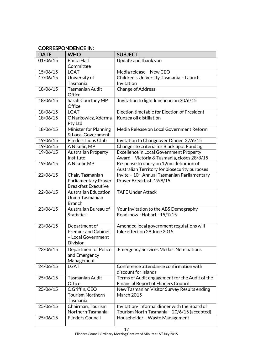# CORRESPONDENCE IN:

| <b>DATE</b> | <b>WHO</b>                                  | <b>SUBJECT</b>                                                           |
|-------------|---------------------------------------------|--------------------------------------------------------------------------|
| 01/06/15    | Emita Hall                                  | Update and thank you                                                     |
|             | Committee                                   |                                                                          |
| 15/06/15    | <b>LGAT</b>                                 | Media release - New CEO                                                  |
| 17/06/15    | University of                               | Children's University Tasmania - Launch                                  |
|             | Tasmania                                    | Invitation                                                               |
| 18/06/15    | Tasmanian Audit                             | Change of Address                                                        |
|             | Office                                      |                                                                          |
| 18/06/15    | Sarah Courtney MP                           | Invitation to light luncheon on 30/6/15                                  |
|             | Office                                      |                                                                          |
| 18/06/15    | <b>LGAT</b>                                 | Election timetable for Election of President                             |
| 18/06/15    | C Narkowicz, Xderma                         | Kunzea oil distillation                                                  |
|             | Pty Ltd                                     |                                                                          |
| 18/06/15    | Minister for Planning                       | Media Release on Local Government Reform                                 |
|             | & Local Government                          |                                                                          |
| 19/06/15    | <b>Flinders Lions Club</b>                  | Invitation to Changeover Dinner 27/6/15                                  |
| 19/06/15    | A Nikolic, MP                               | Changes to criteria for Black Spot Funding                               |
| 19/06/15    | <b>Australian Property</b>                  | <b>Excellence in Local Government Property</b>                           |
|             | Institute                                   | Award - Victoria & Tasmania, closes 28/8/15                              |
| 19/06/15    | A Nikolic MP                                | Response to query on 12nm definition of                                  |
|             |                                             | Australian Territory for biosecurity purposes                            |
| 22/06/15    | Chair, Tasmanian                            | Invite - 10 <sup>th</sup> Annual Tasmanian Parliamentary                 |
|             | Parliamentary Prayer                        | Prayer Breakfast, 19/8/15                                                |
|             | <b>Breakfast Executive</b>                  |                                                                          |
| 22/06/15    | <b>Australian Education</b>                 | <b>TAFE Under Attack</b>                                                 |
|             | <b>Union Tasmanian</b>                      |                                                                          |
|             | <b>Branch</b>                               |                                                                          |
| 23/06/15    | Australian Bureau of                        | Your Invitation to the ABS Demography<br>Roadshow - Hobart - 15/7/15     |
|             | <b>Statistics</b>                           |                                                                          |
| 23/06/15    |                                             |                                                                          |
|             | Department of<br><b>Premier and Cabinet</b> | Amended local government regulations will<br>take effect on 29 June 2015 |
|             | - Local Government                          |                                                                          |
|             | <b>Division</b>                             |                                                                          |
| 23/06/15    | Department of Police                        | <b>Emergency Services Medals Nominations</b>                             |
|             | and Emergency                               |                                                                          |
|             | Management                                  |                                                                          |
| 24/06/15    | <b>LGAT</b>                                 | Conference attendance confirmation with                                  |
|             |                                             | discount for Islands                                                     |
| 25/06/15    | <b>Tasmanian Audit</b>                      | Terms of Audit engagement for the Audit of the                           |
|             | Office                                      | <b>Financial Report of Flinders Council</b>                              |
| 25/06/15    | C Griffin, CEO                              | New Tasmanian Visitor Survey Results ending                              |
|             | <b>Tourism Northern</b>                     | <b>March 2015</b>                                                        |
|             | Tasmania                                    |                                                                          |
| 25/06/15    | Chairman, Tourism                           | Invitation-informal dinner with the Board of                             |
|             | Northern Tasmania                           | Tourism North Tasmania - 20/6/15 (accepted)                              |
| 25/06/15    | <b>Flinders Council</b>                     | Householder - Waste Management                                           |
|             |                                             |                                                                          |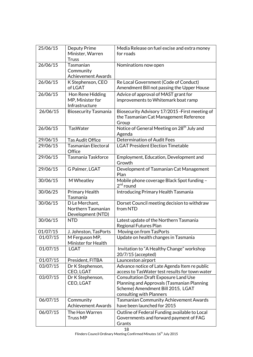| Minister, Warren<br>for roads<br><b>Truss</b><br>26/06/15<br>Tasmanian<br>Nominations now open<br>Community<br><b>Achievement Awards</b><br>26/06/15<br>Re Local Government (Code of Conduct)<br>K Stephenson, CEO<br>of LGAT<br>Amendment Bill not passing the Upper House<br>Advice of approval of MAST grant for<br>26/06/15<br>Hon Rene Hidding<br>MP, Minister for<br>improvements to Whitemark boat ramp<br>Infrastructure<br>26/06/15<br>Biosecurity Advisory 17/2015 - First meeting of<br><b>Biosecurity Tasmania</b><br>the Tasmanian Cat Management Reference<br>Group<br>Notice of General Meeting on 28 <sup>th</sup> July and<br>26/06/15<br><b>TasWater</b><br>Agenda<br><b>Determination of Audit Fees</b><br>29/06/15<br><b>Tas Audit Office</b><br>29/06/15<br><b>Tasmanian Electoral</b><br><b>LGAT President Election Timetable</b><br>Office<br>29/06/15<br>Tasmania Taskforce<br>Employment, Education, Development and<br>Growth<br>Development of Tasmanian Cat Management<br>29/06/15<br>G Palmer, LGAT<br>Plan<br>Mobile phone coverage Black Spot funding -<br>30/06/15<br>M Wheatley<br>$2nd$ round<br><b>Introducing Primary Health Tasmania</b><br>30/06/25<br>Primary Health<br>Tasmania<br>30/06/15<br>Dorset Council meeting decision to withdraw<br>D Le Merchant,<br>Northern Tasmanian<br>from NTD<br>Development (NTD)<br>30/06/15<br><b>NTD</b><br>Latest update of the Northern Tasmania<br><b>Regional Futures Plan</b><br>01/07/15<br>J. Johnston, TasPorts<br>Moving on from TasPorts<br>01/07/15<br>Update on health changes in Tasmania<br>M Ferguson MP,<br>Minister for Health<br>01/07/15<br>Invitation to "A Healthy Change" workshop<br><b>LGAT</b><br>20/7/15 (accepted)<br>01/07/15<br>President, FITBA<br>Launceston airport<br>03/07/15<br>Advance notice of Late Agenda Item re public<br>Dr K Stephenson,<br>access to TasWater test results for town water<br>CEO, LGAT<br>03/07/15<br>Dr K Stephenson,<br><b>Consultation Draft Exposure Land Use</b><br>CEO, LGAT<br>Planning and Approvals (Tasmanian Planning<br>Scheme) Amendment Bill 2015, LGAT<br>consulting with Planners<br>06/07/15<br><b>Tasmanian Community Achievement Awards</b><br>Community<br><b>Achievement Awards</b><br>have been launched for 2015<br>Outline of Federal Funding available to Local<br>06/07/15<br>The Hon Warren<br><b>Truss MP</b><br>Governments and forward payment of FAG<br>Grants<br>18 | 25/06/15 | Deputy Prime | Media Release on fuel excise and extra money |
|----------------------------------------------------------------------------------------------------------------------------------------------------------------------------------------------------------------------------------------------------------------------------------------------------------------------------------------------------------------------------------------------------------------------------------------------------------------------------------------------------------------------------------------------------------------------------------------------------------------------------------------------------------------------------------------------------------------------------------------------------------------------------------------------------------------------------------------------------------------------------------------------------------------------------------------------------------------------------------------------------------------------------------------------------------------------------------------------------------------------------------------------------------------------------------------------------------------------------------------------------------------------------------------------------------------------------------------------------------------------------------------------------------------------------------------------------------------------------------------------------------------------------------------------------------------------------------------------------------------------------------------------------------------------------------------------------------------------------------------------------------------------------------------------------------------------------------------------------------------------------------------------------------------------------------------------------------------------------------------------------------------------------------------------------------------------------------------------------------------------------------------------------------------------------------------------------------------------------------------------------------------------------------------------------------------------------------------------------------------------------------------------------------------------------------------------|----------|--------------|----------------------------------------------|
|                                                                                                                                                                                                                                                                                                                                                                                                                                                                                                                                                                                                                                                                                                                                                                                                                                                                                                                                                                                                                                                                                                                                                                                                                                                                                                                                                                                                                                                                                                                                                                                                                                                                                                                                                                                                                                                                                                                                                                                                                                                                                                                                                                                                                                                                                                                                                                                                                                              |          |              |                                              |
|                                                                                                                                                                                                                                                                                                                                                                                                                                                                                                                                                                                                                                                                                                                                                                                                                                                                                                                                                                                                                                                                                                                                                                                                                                                                                                                                                                                                                                                                                                                                                                                                                                                                                                                                                                                                                                                                                                                                                                                                                                                                                                                                                                                                                                                                                                                                                                                                                                              |          |              |                                              |
|                                                                                                                                                                                                                                                                                                                                                                                                                                                                                                                                                                                                                                                                                                                                                                                                                                                                                                                                                                                                                                                                                                                                                                                                                                                                                                                                                                                                                                                                                                                                                                                                                                                                                                                                                                                                                                                                                                                                                                                                                                                                                                                                                                                                                                                                                                                                                                                                                                              |          |              |                                              |
|                                                                                                                                                                                                                                                                                                                                                                                                                                                                                                                                                                                                                                                                                                                                                                                                                                                                                                                                                                                                                                                                                                                                                                                                                                                                                                                                                                                                                                                                                                                                                                                                                                                                                                                                                                                                                                                                                                                                                                                                                                                                                                                                                                                                                                                                                                                                                                                                                                              |          |              |                                              |
|                                                                                                                                                                                                                                                                                                                                                                                                                                                                                                                                                                                                                                                                                                                                                                                                                                                                                                                                                                                                                                                                                                                                                                                                                                                                                                                                                                                                                                                                                                                                                                                                                                                                                                                                                                                                                                                                                                                                                                                                                                                                                                                                                                                                                                                                                                                                                                                                                                              |          |              |                                              |
|                                                                                                                                                                                                                                                                                                                                                                                                                                                                                                                                                                                                                                                                                                                                                                                                                                                                                                                                                                                                                                                                                                                                                                                                                                                                                                                                                                                                                                                                                                                                                                                                                                                                                                                                                                                                                                                                                                                                                                                                                                                                                                                                                                                                                                                                                                                                                                                                                                              |          |              |                                              |
|                                                                                                                                                                                                                                                                                                                                                                                                                                                                                                                                                                                                                                                                                                                                                                                                                                                                                                                                                                                                                                                                                                                                                                                                                                                                                                                                                                                                                                                                                                                                                                                                                                                                                                                                                                                                                                                                                                                                                                                                                                                                                                                                                                                                                                                                                                                                                                                                                                              |          |              |                                              |
|                                                                                                                                                                                                                                                                                                                                                                                                                                                                                                                                                                                                                                                                                                                                                                                                                                                                                                                                                                                                                                                                                                                                                                                                                                                                                                                                                                                                                                                                                                                                                                                                                                                                                                                                                                                                                                                                                                                                                                                                                                                                                                                                                                                                                                                                                                                                                                                                                                              |          |              |                                              |
|                                                                                                                                                                                                                                                                                                                                                                                                                                                                                                                                                                                                                                                                                                                                                                                                                                                                                                                                                                                                                                                                                                                                                                                                                                                                                                                                                                                                                                                                                                                                                                                                                                                                                                                                                                                                                                                                                                                                                                                                                                                                                                                                                                                                                                                                                                                                                                                                                                              |          |              |                                              |
|                                                                                                                                                                                                                                                                                                                                                                                                                                                                                                                                                                                                                                                                                                                                                                                                                                                                                                                                                                                                                                                                                                                                                                                                                                                                                                                                                                                                                                                                                                                                                                                                                                                                                                                                                                                                                                                                                                                                                                                                                                                                                                                                                                                                                                                                                                                                                                                                                                              |          |              |                                              |
|                                                                                                                                                                                                                                                                                                                                                                                                                                                                                                                                                                                                                                                                                                                                                                                                                                                                                                                                                                                                                                                                                                                                                                                                                                                                                                                                                                                                                                                                                                                                                                                                                                                                                                                                                                                                                                                                                                                                                                                                                                                                                                                                                                                                                                                                                                                                                                                                                                              |          |              |                                              |
|                                                                                                                                                                                                                                                                                                                                                                                                                                                                                                                                                                                                                                                                                                                                                                                                                                                                                                                                                                                                                                                                                                                                                                                                                                                                                                                                                                                                                                                                                                                                                                                                                                                                                                                                                                                                                                                                                                                                                                                                                                                                                                                                                                                                                                                                                                                                                                                                                                              |          |              |                                              |
|                                                                                                                                                                                                                                                                                                                                                                                                                                                                                                                                                                                                                                                                                                                                                                                                                                                                                                                                                                                                                                                                                                                                                                                                                                                                                                                                                                                                                                                                                                                                                                                                                                                                                                                                                                                                                                                                                                                                                                                                                                                                                                                                                                                                                                                                                                                                                                                                                                              |          |              |                                              |
|                                                                                                                                                                                                                                                                                                                                                                                                                                                                                                                                                                                                                                                                                                                                                                                                                                                                                                                                                                                                                                                                                                                                                                                                                                                                                                                                                                                                                                                                                                                                                                                                                                                                                                                                                                                                                                                                                                                                                                                                                                                                                                                                                                                                                                                                                                                                                                                                                                              |          |              |                                              |
|                                                                                                                                                                                                                                                                                                                                                                                                                                                                                                                                                                                                                                                                                                                                                                                                                                                                                                                                                                                                                                                                                                                                                                                                                                                                                                                                                                                                                                                                                                                                                                                                                                                                                                                                                                                                                                                                                                                                                                                                                                                                                                                                                                                                                                                                                                                                                                                                                                              |          |              |                                              |
|                                                                                                                                                                                                                                                                                                                                                                                                                                                                                                                                                                                                                                                                                                                                                                                                                                                                                                                                                                                                                                                                                                                                                                                                                                                                                                                                                                                                                                                                                                                                                                                                                                                                                                                                                                                                                                                                                                                                                                                                                                                                                                                                                                                                                                                                                                                                                                                                                                              |          |              |                                              |
|                                                                                                                                                                                                                                                                                                                                                                                                                                                                                                                                                                                                                                                                                                                                                                                                                                                                                                                                                                                                                                                                                                                                                                                                                                                                                                                                                                                                                                                                                                                                                                                                                                                                                                                                                                                                                                                                                                                                                                                                                                                                                                                                                                                                                                                                                                                                                                                                                                              |          |              |                                              |
|                                                                                                                                                                                                                                                                                                                                                                                                                                                                                                                                                                                                                                                                                                                                                                                                                                                                                                                                                                                                                                                                                                                                                                                                                                                                                                                                                                                                                                                                                                                                                                                                                                                                                                                                                                                                                                                                                                                                                                                                                                                                                                                                                                                                                                                                                                                                                                                                                                              |          |              |                                              |
|                                                                                                                                                                                                                                                                                                                                                                                                                                                                                                                                                                                                                                                                                                                                                                                                                                                                                                                                                                                                                                                                                                                                                                                                                                                                                                                                                                                                                                                                                                                                                                                                                                                                                                                                                                                                                                                                                                                                                                                                                                                                                                                                                                                                                                                                                                                                                                                                                                              |          |              |                                              |
|                                                                                                                                                                                                                                                                                                                                                                                                                                                                                                                                                                                                                                                                                                                                                                                                                                                                                                                                                                                                                                                                                                                                                                                                                                                                                                                                                                                                                                                                                                                                                                                                                                                                                                                                                                                                                                                                                                                                                                                                                                                                                                                                                                                                                                                                                                                                                                                                                                              |          |              |                                              |
|                                                                                                                                                                                                                                                                                                                                                                                                                                                                                                                                                                                                                                                                                                                                                                                                                                                                                                                                                                                                                                                                                                                                                                                                                                                                                                                                                                                                                                                                                                                                                                                                                                                                                                                                                                                                                                                                                                                                                                                                                                                                                                                                                                                                                                                                                                                                                                                                                                              |          |              |                                              |
|                                                                                                                                                                                                                                                                                                                                                                                                                                                                                                                                                                                                                                                                                                                                                                                                                                                                                                                                                                                                                                                                                                                                                                                                                                                                                                                                                                                                                                                                                                                                                                                                                                                                                                                                                                                                                                                                                                                                                                                                                                                                                                                                                                                                                                                                                                                                                                                                                                              |          |              |                                              |
|                                                                                                                                                                                                                                                                                                                                                                                                                                                                                                                                                                                                                                                                                                                                                                                                                                                                                                                                                                                                                                                                                                                                                                                                                                                                                                                                                                                                                                                                                                                                                                                                                                                                                                                                                                                                                                                                                                                                                                                                                                                                                                                                                                                                                                                                                                                                                                                                                                              |          |              |                                              |
|                                                                                                                                                                                                                                                                                                                                                                                                                                                                                                                                                                                                                                                                                                                                                                                                                                                                                                                                                                                                                                                                                                                                                                                                                                                                                                                                                                                                                                                                                                                                                                                                                                                                                                                                                                                                                                                                                                                                                                                                                                                                                                                                                                                                                                                                                                                                                                                                                                              |          |              |                                              |
|                                                                                                                                                                                                                                                                                                                                                                                                                                                                                                                                                                                                                                                                                                                                                                                                                                                                                                                                                                                                                                                                                                                                                                                                                                                                                                                                                                                                                                                                                                                                                                                                                                                                                                                                                                                                                                                                                                                                                                                                                                                                                                                                                                                                                                                                                                                                                                                                                                              |          |              |                                              |
|                                                                                                                                                                                                                                                                                                                                                                                                                                                                                                                                                                                                                                                                                                                                                                                                                                                                                                                                                                                                                                                                                                                                                                                                                                                                                                                                                                                                                                                                                                                                                                                                                                                                                                                                                                                                                                                                                                                                                                                                                                                                                                                                                                                                                                                                                                                                                                                                                                              |          |              |                                              |
|                                                                                                                                                                                                                                                                                                                                                                                                                                                                                                                                                                                                                                                                                                                                                                                                                                                                                                                                                                                                                                                                                                                                                                                                                                                                                                                                                                                                                                                                                                                                                                                                                                                                                                                                                                                                                                                                                                                                                                                                                                                                                                                                                                                                                                                                                                                                                                                                                                              |          |              |                                              |
|                                                                                                                                                                                                                                                                                                                                                                                                                                                                                                                                                                                                                                                                                                                                                                                                                                                                                                                                                                                                                                                                                                                                                                                                                                                                                                                                                                                                                                                                                                                                                                                                                                                                                                                                                                                                                                                                                                                                                                                                                                                                                                                                                                                                                                                                                                                                                                                                                                              |          |              |                                              |
|                                                                                                                                                                                                                                                                                                                                                                                                                                                                                                                                                                                                                                                                                                                                                                                                                                                                                                                                                                                                                                                                                                                                                                                                                                                                                                                                                                                                                                                                                                                                                                                                                                                                                                                                                                                                                                                                                                                                                                                                                                                                                                                                                                                                                                                                                                                                                                                                                                              |          |              |                                              |
|                                                                                                                                                                                                                                                                                                                                                                                                                                                                                                                                                                                                                                                                                                                                                                                                                                                                                                                                                                                                                                                                                                                                                                                                                                                                                                                                                                                                                                                                                                                                                                                                                                                                                                                                                                                                                                                                                                                                                                                                                                                                                                                                                                                                                                                                                                                                                                                                                                              |          |              |                                              |
|                                                                                                                                                                                                                                                                                                                                                                                                                                                                                                                                                                                                                                                                                                                                                                                                                                                                                                                                                                                                                                                                                                                                                                                                                                                                                                                                                                                                                                                                                                                                                                                                                                                                                                                                                                                                                                                                                                                                                                                                                                                                                                                                                                                                                                                                                                                                                                                                                                              |          |              |                                              |
|                                                                                                                                                                                                                                                                                                                                                                                                                                                                                                                                                                                                                                                                                                                                                                                                                                                                                                                                                                                                                                                                                                                                                                                                                                                                                                                                                                                                                                                                                                                                                                                                                                                                                                                                                                                                                                                                                                                                                                                                                                                                                                                                                                                                                                                                                                                                                                                                                                              |          |              |                                              |
|                                                                                                                                                                                                                                                                                                                                                                                                                                                                                                                                                                                                                                                                                                                                                                                                                                                                                                                                                                                                                                                                                                                                                                                                                                                                                                                                                                                                                                                                                                                                                                                                                                                                                                                                                                                                                                                                                                                                                                                                                                                                                                                                                                                                                                                                                                                                                                                                                                              |          |              |                                              |
|                                                                                                                                                                                                                                                                                                                                                                                                                                                                                                                                                                                                                                                                                                                                                                                                                                                                                                                                                                                                                                                                                                                                                                                                                                                                                                                                                                                                                                                                                                                                                                                                                                                                                                                                                                                                                                                                                                                                                                                                                                                                                                                                                                                                                                                                                                                                                                                                                                              |          |              |                                              |
|                                                                                                                                                                                                                                                                                                                                                                                                                                                                                                                                                                                                                                                                                                                                                                                                                                                                                                                                                                                                                                                                                                                                                                                                                                                                                                                                                                                                                                                                                                                                                                                                                                                                                                                                                                                                                                                                                                                                                                                                                                                                                                                                                                                                                                                                                                                                                                                                                                              |          |              |                                              |
|                                                                                                                                                                                                                                                                                                                                                                                                                                                                                                                                                                                                                                                                                                                                                                                                                                                                                                                                                                                                                                                                                                                                                                                                                                                                                                                                                                                                                                                                                                                                                                                                                                                                                                                                                                                                                                                                                                                                                                                                                                                                                                                                                                                                                                                                                                                                                                                                                                              |          |              |                                              |
|                                                                                                                                                                                                                                                                                                                                                                                                                                                                                                                                                                                                                                                                                                                                                                                                                                                                                                                                                                                                                                                                                                                                                                                                                                                                                                                                                                                                                                                                                                                                                                                                                                                                                                                                                                                                                                                                                                                                                                                                                                                                                                                                                                                                                                                                                                                                                                                                                                              |          |              |                                              |
|                                                                                                                                                                                                                                                                                                                                                                                                                                                                                                                                                                                                                                                                                                                                                                                                                                                                                                                                                                                                                                                                                                                                                                                                                                                                                                                                                                                                                                                                                                                                                                                                                                                                                                                                                                                                                                                                                                                                                                                                                                                                                                                                                                                                                                                                                                                                                                                                                                              |          |              |                                              |
|                                                                                                                                                                                                                                                                                                                                                                                                                                                                                                                                                                                                                                                                                                                                                                                                                                                                                                                                                                                                                                                                                                                                                                                                                                                                                                                                                                                                                                                                                                                                                                                                                                                                                                                                                                                                                                                                                                                                                                                                                                                                                                                                                                                                                                                                                                                                                                                                                                              |          |              |                                              |
|                                                                                                                                                                                                                                                                                                                                                                                                                                                                                                                                                                                                                                                                                                                                                                                                                                                                                                                                                                                                                                                                                                                                                                                                                                                                                                                                                                                                                                                                                                                                                                                                                                                                                                                                                                                                                                                                                                                                                                                                                                                                                                                                                                                                                                                                                                                                                                                                                                              |          |              |                                              |
|                                                                                                                                                                                                                                                                                                                                                                                                                                                                                                                                                                                                                                                                                                                                                                                                                                                                                                                                                                                                                                                                                                                                                                                                                                                                                                                                                                                                                                                                                                                                                                                                                                                                                                                                                                                                                                                                                                                                                                                                                                                                                                                                                                                                                                                                                                                                                                                                                                              |          |              |                                              |
|                                                                                                                                                                                                                                                                                                                                                                                                                                                                                                                                                                                                                                                                                                                                                                                                                                                                                                                                                                                                                                                                                                                                                                                                                                                                                                                                                                                                                                                                                                                                                                                                                                                                                                                                                                                                                                                                                                                                                                                                                                                                                                                                                                                                                                                                                                                                                                                                                                              |          |              |                                              |
|                                                                                                                                                                                                                                                                                                                                                                                                                                                                                                                                                                                                                                                                                                                                                                                                                                                                                                                                                                                                                                                                                                                                                                                                                                                                                                                                                                                                                                                                                                                                                                                                                                                                                                                                                                                                                                                                                                                                                                                                                                                                                                                                                                                                                                                                                                                                                                                                                                              |          |              |                                              |
|                                                                                                                                                                                                                                                                                                                                                                                                                                                                                                                                                                                                                                                                                                                                                                                                                                                                                                                                                                                                                                                                                                                                                                                                                                                                                                                                                                                                                                                                                                                                                                                                                                                                                                                                                                                                                                                                                                                                                                                                                                                                                                                                                                                                                                                                                                                                                                                                                                              |          |              |                                              |
|                                                                                                                                                                                                                                                                                                                                                                                                                                                                                                                                                                                                                                                                                                                                                                                                                                                                                                                                                                                                                                                                                                                                                                                                                                                                                                                                                                                                                                                                                                                                                                                                                                                                                                                                                                                                                                                                                                                                                                                                                                                                                                                                                                                                                                                                                                                                                                                                                                              |          |              |                                              |
|                                                                                                                                                                                                                                                                                                                                                                                                                                                                                                                                                                                                                                                                                                                                                                                                                                                                                                                                                                                                                                                                                                                                                                                                                                                                                                                                                                                                                                                                                                                                                                                                                                                                                                                                                                                                                                                                                                                                                                                                                                                                                                                                                                                                                                                                                                                                                                                                                                              |          |              |                                              |
|                                                                                                                                                                                                                                                                                                                                                                                                                                                                                                                                                                                                                                                                                                                                                                                                                                                                                                                                                                                                                                                                                                                                                                                                                                                                                                                                                                                                                                                                                                                                                                                                                                                                                                                                                                                                                                                                                                                                                                                                                                                                                                                                                                                                                                                                                                                                                                                                                                              |          |              |                                              |
|                                                                                                                                                                                                                                                                                                                                                                                                                                                                                                                                                                                                                                                                                                                                                                                                                                                                                                                                                                                                                                                                                                                                                                                                                                                                                                                                                                                                                                                                                                                                                                                                                                                                                                                                                                                                                                                                                                                                                                                                                                                                                                                                                                                                                                                                                                                                                                                                                                              |          |              |                                              |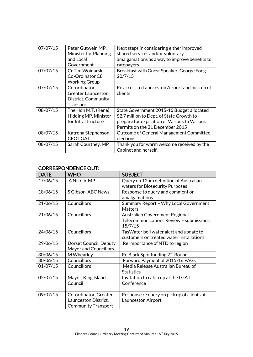| 07/07/15 | Peter Gutwein MP,<br><b>Minister for Planning</b><br>and Local<br>Government   | Next steps in considering either improved<br>shared services and/or voluntary<br>amalgamations as a way to improve benefits to<br>ratepayers                              |
|----------|--------------------------------------------------------------------------------|---------------------------------------------------------------------------------------------------------------------------------------------------------------------------|
| 07/07/15 | Cr Tim Woinarski,<br>Co-Ordinator C8<br><b>Working Group</b>                   | Breakfast with Guest Speaker, George Fong<br>20/7/15                                                                                                                      |
| 07/07/15 | Co-ordinator,<br><b>Greater Launceston</b><br>District, Community<br>Transport | Re access to Launceston Airport and pick up of<br>clients                                                                                                                 |
| 08/07/15 | The Hon M.T. (Rene)<br>Hidding MP, Minister<br>for Infrastructure              | State Government 2015-16 Budget allocated<br>\$2.7 million to Dept. of State Growth to<br>prepare for expiration of Various to Various<br>Permits on the 31 December 2015 |
| 08/07/15 | Katrena Stephenson,<br><b>CEOLGAT</b>                                          | Outcome of General Management Committee<br>elections                                                                                                                      |
| 08/07/15 | Sarah Courtney, MP                                                             | Thank you for warm welcome received by the<br>Cabinet and herself.                                                                                                        |

# CORRESPONDENCE OUT:

| <b>DATE</b> | <b>WHO</b>                   | <b>SUBJECT</b>                              |
|-------------|------------------------------|---------------------------------------------|
| 17/06/15    | A Nikolic MP                 | Query on 12nm definition of Australian      |
|             |                              | waters for Biosecurity Purposes             |
| 18/06/15    | S Gibson, ABC News           | Response to query and comment on            |
|             |                              | amalgamations                               |
| 21/06/15    | Councillors                  | Summary Report - Why Local Government       |
|             |                              | <b>Matters</b>                              |
| 21/06/15    | Councillors                  | Australian Government Regional              |
|             |                              | Telecommunications Review - submissions     |
|             |                              | 15/7/15                                     |
| 24/06/15    | Councillors                  | Tas Water boil water alert and update to    |
|             |                              | customers on treated water installations    |
| 29/06/15    | Dorset Council, Deputy       | Re importance of NTD to region              |
|             | <b>Mayor and Councillors</b> |                                             |
| 30/06/15    | M Wheatley                   | Re Black Spot funding 2 <sup>nd</sup> Round |
| 30/06/15    | Councillors                  | Forward Payment of 2015-16 FAGs             |
| 01/07/15    | Councillors                  | Media Release Australian Bureau of          |
|             |                              | <b>Statistics</b>                           |
| 05/07/15    | Mayor, King Island           | Invitation to catch up at the LGAT          |
|             | Council                      | Conference                                  |
|             |                              |                                             |
| 09/07/15    | Co-ordinator, Greater        | Response re query on pick up of clients at  |
|             | Launceston District,         | <b>Launceston Airport</b>                   |
|             | <b>Community Transport</b>   |                                             |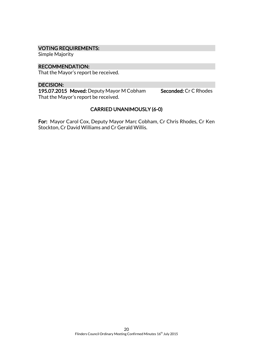# VOTING REQUIREMENTS:

Simple Majority

#### RECOMMENDATION:

That the Mayor's report be received.

#### DECISION:

195.07.2015 Moved: Deputy Mayor M Cobham Seconded: Cr C Rhodes That the Mayor's report be received.

# CARRIED UNANIMOUSLY (6-0)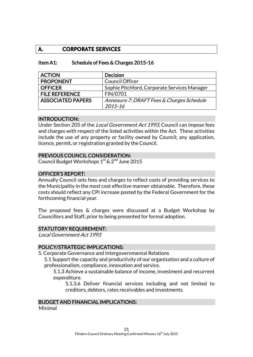# **A. CORPORATE SERVICES**

#### Item A1: Schedule of Fees & Charges 2015-16

| <b>ACTION</b>            | <b>Decision</b>                              |
|--------------------------|----------------------------------------------|
| <b>PROPONENT</b>         | <b>Council Officer</b>                       |
| <b>OFFICER</b>           | Sophie Pitchford, Corporate Services Manager |
| <b>FILE REFERENCE</b>    | FIN/0701                                     |
| <b>ASSOCIATED PAPERS</b> | Annexure 7: DRAFT Fees & Charges Schedule    |
|                          | 2015-16                                      |

#### INTRODUCTION:

Under Section 205 of the *Local Government Act 1993*, Council can impose fees and charges with respect of the listed activities within the Act. These activities include the use of any property or facility owned by Council; any application, licence, permit, or registration granted by the Council.

#### PREVIOUS COUNCIL CONSIDERATION:

Council Budget Workshops  $1<sup>st</sup>$  &  $2<sup>nd</sup>$  June 2015

#### OFFICER'S REPORT:

Annually Council sets fees and charges to reflect costs of providing services to the Municipality in the most cost effective manner obtainable. Therefore, these costs should reflect any CPI increase posted by the Federal Government for the forthcoming financial year.

The proposed fees & charges were discussed at a Budget Workshop by Councillors and Staff, prior to being presented for formal adoption.

#### STATUTORY REQUIREMENT:

Local Government Act 1993

#### POLICY/STRATEGIC IMPLICATIONS:

5. Corporate Governance and Intergovernmental Relations

5.1 Support the capacity and productivity of our organisation and a culture of professionalism, compliance, innovation and service.

5.1.3 Achieve a sustainable balance of income, investment and recurrent expenditure.

5.1.3.6 Deliver financial services including and not limited to creditors, debtors, rates receivables and investments.

#### BUDGET AND FINANCIAL IMPLICATIONS:

Minimal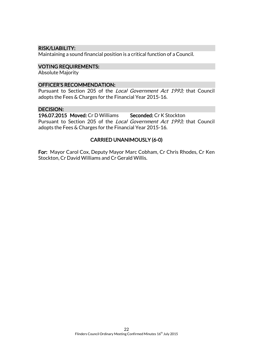# RISK/LIABILITY:

Maintaining a sound financial position is a critical function of a Council.

#### VOTING REQUIREMENTS:

Absolute Majority

#### OFFICER'S RECOMMENDATION:

Pursuant to Section 205 of the Local Government Act 1993; that Council adopts the Fees & Charges for the Financial Year 2015-16.

# DECISION:

196.07.2015 Moved: Cr D Williams Seconded: Cr K Stockton Pursuant to Section 205 of the Local Government Act 1993; that Council adopts the Fees & Charges for the Financial Year 2015-16.

# CARRIED UNANIMOUSLY (6-0)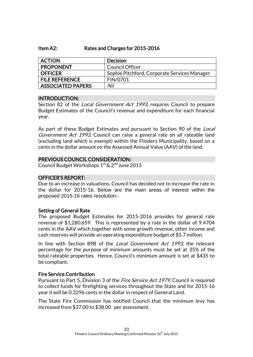#### Item A2: Rates and Charges for 2015-2016

| <b>ACTION</b>         | <b>Decision</b>                              |
|-----------------------|----------------------------------------------|
| <b>PROPONENT</b>      | <b>Council Officer</b>                       |
| <b>OFFICER</b>        | Sophie Pitchford, Corporate Services Manager |
| <b>FILE REFERENCE</b> | FIN/0701                                     |
| ASSOCIATED PAPERS     | Nil                                          |

#### INTRODUCTION:

Section 82 of the *Local Government Act 1993*, requires Council to prepare Budget Estimates of the Council's revenue and expenditure for each financial year.

As part of these Budget Estimates and pursuant to Section 90 of the *Local* Government Act 1993, Council can raise a general rate on all rateable land (excluding land which is exempt) within the Flinders Municipality, based on a cents in the dollar amount on the Assessed Annual Value (AAV) of the land.

#### PREVIOUS COUNCIL CONSIDERATION:

Council Budget Workshops 1<sup>st</sup> & 2<sup>nd</sup> June 2015

#### OFFICER'S REPORT:

Due to an increase in valuations, Council has decided not to increase the rate in the dollar for 2015-16. Below are the main areas of interest within the proposed 2015-16 rates resolution:-

#### Setting of General Rate

The proposed Budget Estimates for 2015-2016 provides for general rate revenue of \$1,280,659. This is represented by a rate in the dollar of 9.4704 cents in the AAV which together with some growth revenue, other income and cash reserves will provide an operating expenditure budget of \$5.7 million.

In line with Section 89B of the *Local Government Act 1993*, the relevant percentage for the purpose of minimum amounts must be set at 35% of the total rateable properties. Hence, Council's minimum amount is set at \$435 to be compliant.

#### Fire Service Contribution

Pursuant to Part 5, Division 3 of the *Fire Service Act 1979*, Council is required to collect funds for firefighting services throughout the State and for 2015-16 year it will be 0.3296 cents in the dollar in respect of General Land.

The State Fire Commission has notified Council that the minimum levy has increased from \$37.00 to \$38.00 per assessment.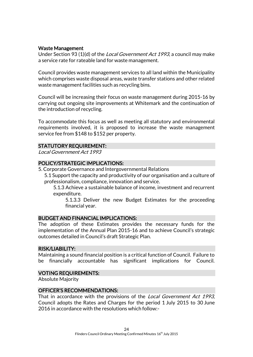# Waste Management

Under Section 93 (1)(d) of the Local Government Act 1993, a council may make a service rate for rateable land for waste management.

Council provides waste management services to all land within the Municipality which comprises waste disposal areas, waste transfer stations and other related waste management facilities such as recycling bins.

Council will be increasing their focus on waste management during 2015-16 by carrying out ongoing site improvements at Whitemark and the continuation of the introduction of recycling.

To accommodate this focus as well as meeting all statutory and environmental requirements involved, it is proposed to increase the waste management service fee from \$148 to \$152 per property.

#### STATUTORY REQUIREMENT:

Local Government Act 1993

#### POLICY/STRATEGIC IMPLICATIONS:

- 5. Corporate Governance and Intergovernmental Relations
	- 5.1 Support the capacity and productivity of our organisation and a culture of professionalism, compliance, innovation and service.

5.1.3 Achieve a sustainable balance of income, investment and recurrent expenditure.

5.1.3.3 Deliver the new Budget Estimates for the proceeding financial year.

#### BUDGET AND FINANCIAL IMPLICATIONS:

The adoption of these Estimates provides the necessary funds for the implementation of the Annual Plan 2015-16 and to achieve Council's strategic outcomes detailed in Council's draft Strategic Plan.

#### RISK/LIABILITY:

Maintaining a sound financial position is a critical function of Council. Failure to be financially accountable has significant implications for Council.

#### VOTING REQUIREMENTS:

Absolute Majority

#### OFFICER'S RECOMMENDATIONS:

That in accordance with the provisions of the *Local Government Act 1993*, Council adopts the Rates and Charges for the period 1 July 2015 to 30 June 2016 in accordance with the resolutions which follow:-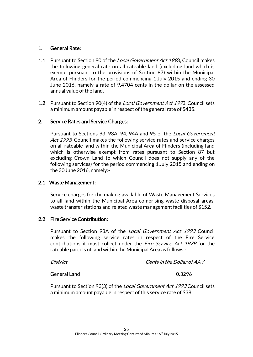# 1. General Rate:

- 1.1 Pursuant to Section 90 of the *Local Government Act 199*3. Council makes the following general rate on all rateable land (excluding land which is exempt pursuant to the provisions of Section 87) within the Municipal Area of Flinders for the period commencing 1 July 2015 and ending 30 June 2016, namely a rate of 9.4704 cents in the dollar on the assessed annual value of the land.
- **1.2** Pursuant to Section 90(4) of the *Local Government Act 199*3, Council sets a minimum amount payable in respect of the general rate of \$435.

# 2. Service Rates and Service Charges:

Pursuant to Sections 93, 93A, 94, 94A and 95 of the Local Government Act 1993, Council makes the following service rates and service charges on all rateable land within the Municipal Area of Flinders (including land which is otherwise exempt from rates pursuant to Section 87 but excluding Crown Land to which Council does not supply any of the following services) for the period commencing 1 July 2015 and ending on the 30June 2016, namely:-

#### 2.1 Waste Management:

Service charges for the making available of Waste Management Services to all land within the Municipal Area comprising waste disposal areas, waste transfer stations and related waste management facilities of \$152.

# 2.2 Fire Service Contribution:

Pursuant to Section 93A of the Local Government Act 1993 Council makes the following service rates in respect of the Fire Service contributions it must collect under the *Fire Service Act 1979* for the rateable parcels of land within the Municipal Area as follows:-

District Cents in the Dollar of AAV

General Land 6.3296

Pursuant to Section 93(3) of the Local Government Act 1993 Council sets a minimum amount payable in respect of this service rate of \$38.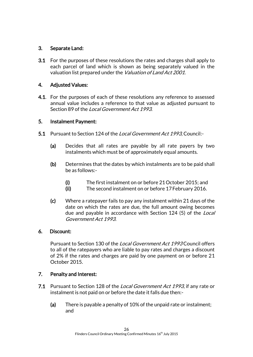# 3. Separate Land:

3.1 For the purposes of these resolutions the rates and charges shall apply to each parcel of land which is shown as being separately valued in the valuation list prepared under the *Valuation of Land Act 2001*.

# 4. Adjusted Values:

4.1. For the purposes of each of these resolutions any reference to assessed annual value includes a reference to that value as adjusted pursuant to Section 89 of the *Local Government Act 1993*.

# 5. Instalment Payment:

- 5.1 Pursuant to Section 124 of the *Local Government Act 1993*. Council:-
	- (a) Decides that all rates are payable by all rate payers by two instalments which must be of approximately equal amounts.
	- (b) Determines that the dates by which instalments are to be paid shall be as follows:-
		- (i) The first instalment on or before 21October 2015; and
		- (ii) The second instalment on or before 17February 2016.
	- (c) Where a ratepayer fails to pay any instalment within 21 days of the date on which the rates are due, the full amount owing becomes due and payable in accordance with Section 124 (5) of the *Local* Government Act 1993.

# 6. Discount:

Pursuant to Section 130 of the Local Government Act 1993 Council offers to all of the ratepayers who are liable to pay rates and charges a discount of 2% if the rates and charges are paid by one payment on or before 21 October 2015.

# 7. Penalty and Interest:

- 7.1 Pursuant to Section 128 of the Local Government Act 1993, if any rate or instalment is not paid on or before the date it falls due then:-
	- (a) There is payable a penalty of 10% of the unpaid rate or instalment; and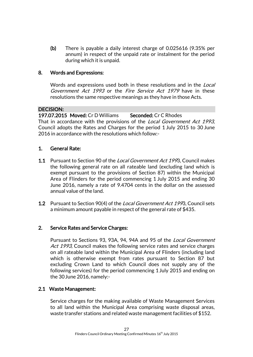(b) There is payable a daily interest charge of 0.025616 (9.35% per annum) in respect of the unpaid rate or instalment for the period during which it is unpaid.

# 8. Words and Expressions:

Words and expressions used both in these resolutions and in the *Local* Government Act 1993 or the Fire Service Act 1979 have in these resolutions the same respective meanings as they have in those Acts.

# DECISION:

197.07.2015 Moved: Cr D Williams Seconded: Cr C Rhodes That in accordance with the provisions of the *Local Government Act 1993*, Council adopts the Rates and Charges for the period 1 July 2015 to 30 June 2016 in accordance with the resolutions which follow:-

# 1. General Rate:

- 1.1 Pursuant to Section 90 of the *Local Government Act 199*3, Council makes the following general rate on all rateable land (excluding land which is exempt pursuant to the provisions of Section 87) within the Municipal Area of Flinders for the period commencing 1 July 2015 and ending 30 June 2016, namely a rate of 9.4704 cents in the dollar on the assessed annual value of the land.
- **1.2** Pursuant to Section 90(4) of the *Local Government Act 199*3, Council sets a minimum amount payable in respect of the general rate of \$435.

# 2. Service Rates and Service Charges:

Pursuant to Sections 93, 93A, 94, 94A and 95 of the Local Government Act 1993, Council makes the following service rates and service charges on all rateable land within the Municipal Area of Flinders (including land which is otherwise exempt from rates pursuant to Section 87 but excluding Crown Land to which Council does not supply any of the following services) for the period commencing 1 July 2015 and ending on the 30June 2016, namely:-

# 2.1 Waste Management:

Service charges for the making available of Waste Management Services to all land within the Municipal Area comprising waste disposal areas, waste transfer stations and related waste management facilities of \$152.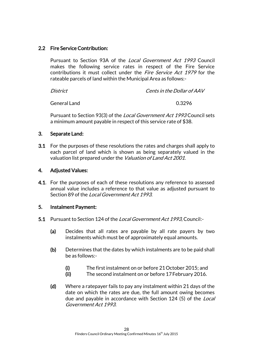# 2.2 Fire Service Contribution:

Pursuant to Section 93A of the Local Government Act 1993 Council makes the following service rates in respect of the Fire Service contributions it must collect under the *Fire Service Act 1979* for the rateable parcels of land within the Municipal Area as follows:-

| District | Cents in the Dollar of AAV |
|----------|----------------------------|
|          |                            |

General Land 6.3296

Pursuant to Section 93(3) of the *Local Government Act 1993* Council sets a minimum amount payable in respect of this service rate of \$38.

# 3. Separate Land:

3.1 For the purposes of these resolutions the rates and charges shall apply to each parcel of land which is shown as being separately valued in the valuation list prepared under the *Valuation of Land Act 2001*.

# 4. Adjusted Values:

**4.1.** For the purposes of each of these resolutions any reference to assessed annual value includes a reference to that value as adjusted pursuant to Section 89 of the Local Government Act 1993.

# 5. Instalment Payment:

- 5.1 Pursuant to Section 124 of the *Local Government Act 1993*, Council:-
	- (a) Decides that all rates are payable by all rate payers by two instalments which must be of approximately equal amounts.
	- (b) Determines that the dates by which instalments are to be paid shall be as follows:-
		- (i) The first instalment on or before 21October 2015; and
		- (ii) The second instalment on or before 17February 2016.
	- (d) Where a ratepayer fails to pay any instalment within 21 days of the date on which the rates are due, the full amount owing becomes due and payable in accordance with Section 124 (5) of the Local Government Act 1993.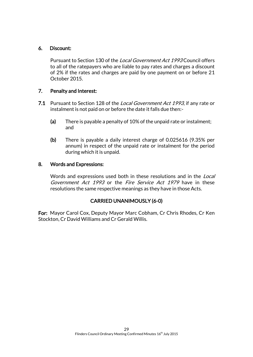# 6. Discount:

Pursuant to Section 130 of the Local Government Act 1993 Council offers to all of the ratepayers who are liable to pay rates and charges a discount of 2% if the rates and charges are paid by one payment on or before 21 October 2015.

# 7. Penalty and Interest:

- 7.1 Pursuant to Section 128 of the Local Government Act 1993, if any rate or instalment is not paid on or before the date it falls due then:-
	- (a) There is payable a penalty of 10% of the unpaid rate or instalment; and
	- (b) There is payable a daily interest charge of 0.025616 (9.35% per annum) in respect of the unpaid rate or instalment for the period during which it is unpaid.

#### 8. Words and Expressions:

Words and expressions used both in these resolutions and in the *Local* Government Act 1993 or the Fire Service Act 1979 have in these resolutions the same respective meanings as they have in those Acts.

# CARRIED UNANIMOUSLY (6-0)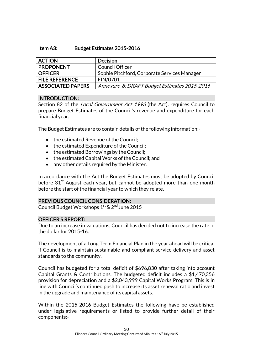#### Item A3: Budget Estimates 2015-2016

| <b>ACTION</b>            | <b>Decision</b>                              |
|--------------------------|----------------------------------------------|
| <b>PROPONENT</b>         | <b>Council Officer</b>                       |
| <b>OFFICER</b>           | Sophie Pitchford, Corporate Services Manager |
| <b>FILE REFERENCE</b>    | FIN/0701                                     |
| <b>ASSOCIATED PAPERS</b> | Annexure 8: DRAFT Budget Estimates 2015-2016 |

# INTRODUCTION:

Section 82 of the *Local Government Act 1993* (the Act), requires Council to prepare Budget Estimates of the Council's revenue and expenditure for each financial year.

The Budget Estimates are to contain details of the following information:-

- the estimated Revenue of the Council;
- the estimated Expenditure of the Council;
- the estimated Borrowings by the Council;
- the estimated Capital Works of the Council; and
- any other details required by the Minister.

In accordance with the Act the Budget Estimates must be adopted by Council before  $31<sup>st</sup>$  August each year, but cannot be adopted more than one month before the start of the financial year to which they relate.

# PREVIOUS COUNCIL CONSIDERATION:

Council Budget Workshops 1st & 2<sup>nd</sup> June 2015

# OFFICER'S REPORT:

Due to an increase in valuations, Council has decided not to increase the rate in the dollar for 2015-16.

The development of a Long Term Financial Plan in the year ahead will be critical if Council is to maintain sustainable and compliant service delivery and asset standards to the community.

Council has budgeted for a total deficit of \$696,830 after taking into account Capital Grants & Contributions. The budgeted deficit includes a \$1,470,356 provision for depreciation and a \$2,043,999 Capital Works Program. This is in line with Council's continued push to increase its asset renewal ratio and invest in the upgrade and maintenance of its capital assets.

Within the 2015-2016 Budget Estimates the following have be established under legislative requirements or listed to provide further detail of their components:-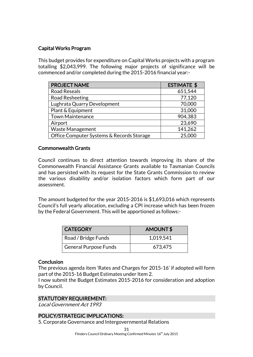# Capital Works Program

This budget provides for expenditure on Capital Works projects with a program totalling \$2,043,999. The following major projects of significance will be commenced and/or completed during the 2015-2016 financial year:-

| <b>PROJECT NAME</b>                       | <b>ESTIMATE \$</b> |
|-------------------------------------------|--------------------|
| <b>Road Reseals</b>                       | 651,544            |
| Road Resheeting                           | 77,120             |
| Lughrata Quarry Development               | 70,000             |
| Plant & Equipment                         | 31,000             |
| <b>Town Maintenance</b>                   | 904,383            |
| Airport                                   | 23,690             |
| <b>Waste Management</b>                   | 141,262            |
| Office Computer Systems & Records Storage | 25,000             |

# Commonwealth Grants

Council continues to direct attention towards improving its share of the Commonwealth Financial Assistance Grants available to Tasmanian Councils and has persisted with its request for the State Grants Commission to review the various disability and/or isolation factors which form part of our assessment.

The amount budgeted for the year 2015-2016 is \$1,693,016 which represents Council's full yearly allocation, excluding a CPI increase which has been frozen by the Federal Government. This will be apportioned as follows:-

| <b>CATEGORY</b>       | AMOUNT\$  |
|-----------------------|-----------|
| Road / Bridge Funds   | 1,019,541 |
| General Purpose Funds | 673,475   |

#### **Conclusion**

The previous agenda item 'Rates and Charges for 2015-16' if adopted will form part of the 2015-16 Budget Estimates under Item 2.

I now submit the Budget Estimates 2015-2016 for consideration and adoption by Council.

# STATUTORY REQUIREMENT:

Local Government Act 1993

# POLICY/STRATEGIC IMPLICATIONS:

5. Corporate Governance and Intergovernmental Relations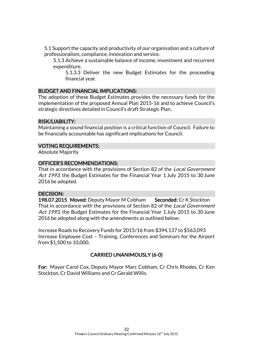5.1 Support the capacity and productivity of our organisation and a culture of professionalism, compliance, innovation and service.

5.1.3 Achieve a sustainable balance of income, investment and recurrent expenditure.

5.1.3.3 Deliver the new Budget Estimates for the proceeding financial year.

# BUDGET AND FINANCIAL IMPLICATIONS:

The adoption of these Budget Estimates provides the necessary funds for the implementation of the proposed Annual Plan 2015-16 and to achieve Council's strategic directives detailed in Council's draft Strategic Plan.

#### RISK/LIABILITY:

Maintaining a sound financial position is a critical function of Council. Failure to be financially accountable has significant implications for Council.

# VOTING REQUIREMENTS:

Absolute Majority

#### OFFICER'S RECOMMENDATIONS:

That in accordance with the provisions of Section 82 of the *Local Government* Act 1993, the Budget Estimates for the Financial Year 1 July 2015 to 30 June 2016 be adopted.

# DECISION:

198.07.2015 Moved: Deputy Mayor M Cobham Seconded: Cr K Stockton That in accordance with the provisions of Section 82 of the *Local Government* Act 1993, the Budget Estimates for the Financial Year 1 July 2015 to 30 June 2016 be adopted along with the amendments as outlined below:

Increase Roads to Recovery Funds for 2015/16 from \$394,137 to \$563,093 Increase Employee Cost – Training, Conferences and Seminars for the Airport from \$1,500 to 10,000.

# CARRIED UNANIMOUSLY (6-0)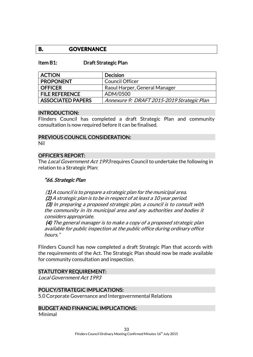# **B. GOVERNANCE**

#### Item B1: Draft Strategic Plan

| <b>ACTION</b>            | Decision                                   |
|--------------------------|--------------------------------------------|
| <b>PROPONENT</b>         | <b>Council Officer</b>                     |
| <b>OFFICER</b>           | Raoul Harper, General Manager              |
| <b>FILE REFERENCE</b>    | ADM/0500                                   |
| <b>ASSOCIATED PAPERS</b> | Annexure 9: DRAFT 2015-2019 Strategic Plan |

#### INTRODUCTION:

Flinders Council has completed a draft Strategic Plan and community consultation is now required before it can be finalised.

#### PREVIOUS COUNCIL CONSIDERATION:

Nil

#### OFFICER'S REPORT:

The *Local Government Act 1993* requires Council to undertake the following in relation to a Strategic Plan:

#### "66. Strategic Plan

 $(1)$  A council is to prepare a strategic plan for the municipal area. (2) A strategic plan is to be in respect of at least a 10 year period. (3) In preparing a proposed strategic plan, a council is to consult with the community in its municipal area and any authorities and bodies it considers appropriate.

(4) The general manager is to make a copy of a proposed strategic plan available for public inspection at the public office during ordinary office hours."

Flinders Council has now completed a draft Strategic Plan that accords with the requirements of the Act. The Strategic Plan should now be made available for community consultation and inspection.

#### STATUTORY REQUIREMENT:

Local Government Act 1993

#### POLICY/STRATEGIC IMPLICATIONS:

5.0 Corporate Governance and Intergovernmental Relations

#### BUDGET AND FINANCIAL IMPLICATIONS:

Minimal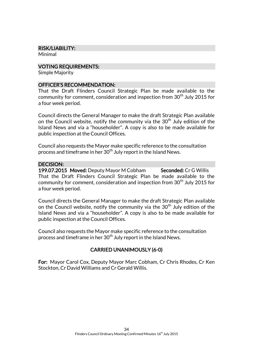#### RISK/LIABILITY:

Minimal

#### VOTING REQUIREMENTS:

Simple Majority

# OFFICER'S RECOMMENDATION:

That the Draft Flinders Council Strategic Plan be made available to the community for comment, consideration and inspection from 30<sup>th</sup> July 2015 for a four week period.

Council directs the General Manager to make the draft Strategic Plan available on the Council website, notify the community via the  $30<sup>th</sup>$  July edition of the Island News and via a "householder". A copy is also to be made available for public inspection at the Council Offices.

Council also requests the Mayor make specific reference to the consultation process and timeframe in her  $30<sup>th</sup>$  July report in the Island News.

# DECISION:

199.07.2015 Moved: Deputy Mayor M Cobham Seconded: Cr G Willis That the Draft Flinders Council Strategic Plan be made available to the community for comment, consideration and inspection from 30<sup>th</sup> July 2015 for a four week period.

Council directs the General Manager to make the draft Strategic Plan available on the Council website, notify the community via the  $30<sup>th</sup>$  July edition of the Island News and via a "householder". A copy is also to be made available for public inspection at the Council Offices.

Council also requests the Mayor make specific reference to the consultation process and timeframe in her  $30<sup>th</sup>$  July report in the Island News.

# CARRIED UNANIMOUSLY (6-0)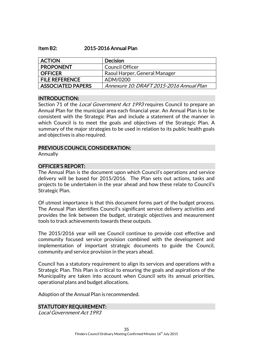#### Item B2: 2015-2016 Annual Plan

| <b>ACTION</b>            | <b>Decision</b>                          |
|--------------------------|------------------------------------------|
| <b>PROPONENT</b>         | <b>Council Officer</b>                   |
| <b>OFFICER</b>           | Raoul Harper, General Manager            |
| <b>FILE REFERENCE</b>    | ADM/0200                                 |
| <b>ASSOCIATED PAPERS</b> | Annexure 10: DRAFT 2015-2016 Annual Plan |

#### INTRODUCTION:

Section 71 of the *Local Government Act 1993* requires Council to prepare an Annual Plan for the municipal area each financial year. An Annual Plan is to be consistent with the Strategic Plan and include a statement of the manner in which Council is to meet the goals and objectives of the Strategic Plan. A summary of the major strategies to be used in relation to its public health goals and objectives is also required.

#### PREVIOUS COUNCIL CONSIDERATION:

Annually

# OFFICER'S REPORT:

The Annual Plan is the document upon which Council's operations and service delivery will be based for 2015/2016. The Plan sets out actions, tasks and projects to be undertaken in the year ahead and how these relate to Council's Strategic Plan.

Of utmost importance is that this document forms part of the budget process. The Annual Plan identifies Council's significant service delivery activities and provides the link between the budget, strategic objectives and measurement tools to track achievements towards these outputs.

The 2015/2016 year will see Council continue to provide cost effective and community focused service provision combined with the development and implementation of important strategic documents to guide the Council, community and service provision in the years ahead.

Council has a statutory requirement to align its services and operations with a Strategic Plan. This Plan is critical to ensuring the goals and aspirations of the Municipality are taken into account when Council sets its annual priorities, operational plans and budget allocations.

Adoption of the Annual Plan is recommended.

# STATUTORY REQUIREMENT:

Local Government Act 1993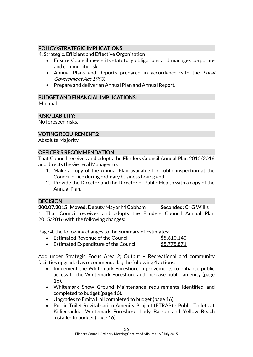# POLICY/STRATEGIC IMPLICATIONS:

4: Strategic, Efficient and Effective Organisation

- Ensure Council meets its statutory obligations and manages corporate and community risk.
- Annual Plans and Reports prepared in accordance with the Local Government Act 1993.
- Prepare and deliver an Annual Plan and Annual Report.

# BUDGET AND FINANCIAL IMPLICATIONS:

Minimal

# RISK/LIABILITY:

No foreseen risks.

# VOTING REQUIREMENTS:

Absolute Majority

# OFFICER'S RECOMMENDATION:

That Council receives and adopts the Flinders Council Annual Plan 2015/2016 and directs the General Manager to:

- 1. Make a copy of the Annual Plan available for public inspection at the Council office during ordinary business hours; and
- 2. Provide the Director and the Director of Public Health with a copy of the Annual Plan.

# DECISION:

200.07.2015 Moved: Deputy Mayor M Cobham Seconded: Cr G Willis 1. That Council receives and adopts the Flinders Council Annual Plan 2015/2016 with the following changes:

Page 4, the following changes to the Summary of Estimates:

| Estimated Revenue of the Council       | \$5,610,140 |
|----------------------------------------|-------------|
| • Estimated Expenditure of the Council | \$5,775,871 |

Add under Strategic Focus Area 2; Output – Recreational and community facilities upgraded as recommended…; the following 4 actions:

- Implement the Whitemark Foreshore improvements to enhance public access to the Whitemark Foreshore and increase public amenity (page 16).
- Whitemark Show Ground Maintenance requirements identified and completed to budget (page 16).
- Upgrades to Emita Hall completed to budget (page 16).
- Public Toilet Revitalisation Amenity Project (PTRAP) Public Toilets at Killiecrankie, Whitemark Foreshore, Lady Barron and Yellow Beach installedto budget (page 16).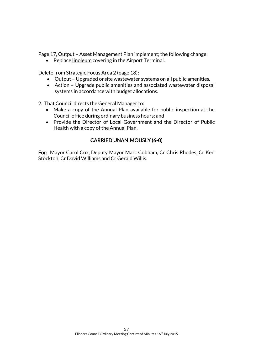Page 17, Output – Asset Management Plan implement; the following change:

• Replace linoleum covering in the Airport Terminal.

Delete from Strategic Focus Area 2 (page 18):

- Output Upgraded onsite wastewater systems on all public amenities.
- Action Upgrade public amenities and associated wastewater disposal systems in accordance with budget allocations.

2. That Council directs the General Manager to:

- Make a copy of the Annual Plan available for public inspection at the Council office during ordinary business hours; and
- Provide the Director of Local Government and the Director of Public Health with a copy of the Annual Plan.

# CARRIED UNANIMOUSLY (6-0)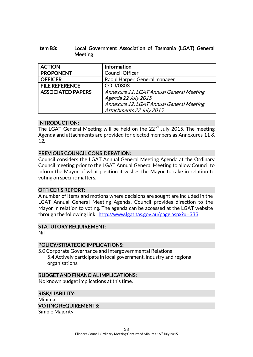# Item B3: Local Government Association of Tasmania (LGAT) General Meeting

| <b>ACTION</b>            | <b>Information</b>                       |
|--------------------------|------------------------------------------|
| <b>PROPONENT</b>         | Council Officer                          |
| <b>OFFICER</b>           | Raoul Harper, General manager            |
| <b>FILE REFERENCE</b>    | COU/0303                                 |
| <b>ASSOCIATED PAPERS</b> | Annexure 11: LGAT Annual General Meeting |
|                          | Agenda 22 July 2015                      |
|                          | Annexure 12: LGAT Annual General Meeting |
|                          | Attachments 22 July 2015                 |

# INTRODUCTION:

The LGAT General Meeting will be held on the 22<sup>nd</sup> July 2015. The meeting Agenda and attachments are provided for elected members as Annexures 11 & 12.

# PREVIOUS COUNCIL CONSIDERATION:

Council considers the LGAT Annual General Meeting Agenda at the Ordinary Council meeting prior to the LGAT Annual General Meeting to allow Council to inform the Mayor of what position it wishes the Mayor to take in relation to voting on specific matters.

# OFFICER'S REPORT:

A number of items and motions where decisions are sought are included in the LGAT Annual General Meeting Agenda. Council provides direction to the Mayor in relation to voting. The agenda can be accessed at the LGAT website through the following link: <http://www.lgat.tas.gov.au/page.aspx?u=333>

# STATUTORY REQUIREMENT:

Nil

# POLICY/STRATEGIC IMPLICATIONS:

5.0 Corporate Governance and Intergovernmental Relations 5.4 Actively participate in local government, industry and regional organisations.

#### BUDGET AND FINANCIAL IMPLICATIONS:

No known budget implications at this time.

RISK/LIABILITY: Minimal VOTING REQUIREMENTS: Simple Majority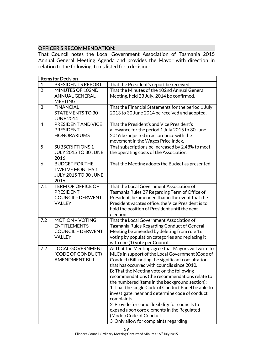# OFFICER'S RECOMMENDATION:

That Council notes the Local Government Association of Tasmania 2015 Annual General Meeting Agenda and provides the Mayor with direction in relation to the following items listed for a decision:

|                | <b>Items for Decision</b>                                                                  |                                                                                                                                                                                                                                                                                                                                                                                                                                                                                                                                                                                                                                                               |
|----------------|--------------------------------------------------------------------------------------------|---------------------------------------------------------------------------------------------------------------------------------------------------------------------------------------------------------------------------------------------------------------------------------------------------------------------------------------------------------------------------------------------------------------------------------------------------------------------------------------------------------------------------------------------------------------------------------------------------------------------------------------------------------------|
| $\mathbf{1}$   | PRESIDENT'S REPORT                                                                         | That the President's report be received.                                                                                                                                                                                                                                                                                                                                                                                                                                                                                                                                                                                                                      |
| $\overline{2}$ | MINUTES OF 102ND<br><b>ANNUAL GENERAL</b>                                                  | That the Minutes of the 102nd Annual General<br>Meeting, held 23 July, 2014 be confirmed.                                                                                                                                                                                                                                                                                                                                                                                                                                                                                                                                                                     |
|                | <b>MEETING</b>                                                                             |                                                                                                                                                                                                                                                                                                                                                                                                                                                                                                                                                                                                                                                               |
| 3              | <b>FINANCIAL</b><br><b>STATEMENTS TO 30</b><br><b>JUNE 2014</b>                            | That the Financial Statements for the period 1 July<br>2013 to 30 June 2014 be received and adopted.                                                                                                                                                                                                                                                                                                                                                                                                                                                                                                                                                          |
| 4              | PRESIDENT AND VICE<br><b>PRESIDENT</b><br><b>HONORARIUMS</b>                               | That the President's and Vice President's<br>allowance for the period 1 July 2015 to 30 June<br>2016 be adjusted in accordance with the<br>movement in the Wages Price Index.                                                                                                                                                                                                                                                                                                                                                                                                                                                                                 |
| 5              | <b>SUBSCRIPTIONS 1</b><br><b>JULY 2015 TO 30 JUNE</b><br>2016                              | That subscriptions be increased by 2.48% to meet<br>the operating costs of the Association.                                                                                                                                                                                                                                                                                                                                                                                                                                                                                                                                                                   |
| 6              | <b>BUDGET FOR THE</b><br><b>TWELVE MONTHS 1</b><br>JULY 2015 TO 30 JUNE<br>2016            | That the Meeting adopts the Budget as presented.                                                                                                                                                                                                                                                                                                                                                                                                                                                                                                                                                                                                              |
| 7.1            | <b>TERM OF OFFICE OF</b><br><b>PRESIDENT</b><br><b>COUNCIL - DERWENT</b><br><b>VALLEY</b>  | That the Local Government Association of<br>Tasmania Rules 27 Regarding Term of Office of<br>President, be amended that in the event that the<br>President vacates office, the Vice President is to<br>hold the position of President until the next<br>election.                                                                                                                                                                                                                                                                                                                                                                                             |
| 7.2            | <b>MOTION - VOTING</b><br><b>ENTITLEMENTS</b><br><b>COUNCIL - DERWENT</b><br><b>VALLEY</b> | That the Local Government Association of<br><b>Tasmania Rules Regarding Conduct of General</b><br>Meeting be amended by deleting from rule 16<br>voting by population categories and replacing it<br>with one (1) vote per Council.                                                                                                                                                                                                                                                                                                                                                                                                                           |
| 7.2            | <b>LOCAL GOVERNMENT</b><br>(CODE OF CONDUCT)<br><b>AMENDMENT BILL</b>                      | A: That the Meeting agree that Mayors will write to<br>MLCs in support of the Local Government (Code of<br>Conduct) Bill, noting the significant consultation<br>that has occurred with councils since 2010.<br>B: That the Meeting vote on the following<br>recommendations (the recommendations relate to<br>the numbered items in the background section):<br>1. That the single Code of Conduct Panel be able to<br>investigate, hear and determine code of conduct<br>complaints.<br>2. Provide for some flexibility for councils to<br>expand upon core elements in the Regulated<br>(Model) Code of Conduct.<br>3. Only allow for complaints regarding |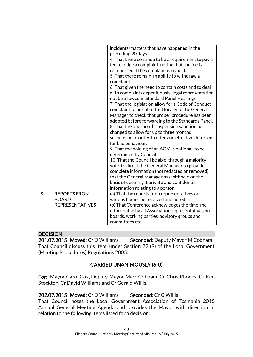|   |                        | incidents/matters that have happened in the<br>preceding 90 days. |
|---|------------------------|-------------------------------------------------------------------|
|   |                        | 4. That there continue to be a requirement to pay a               |
|   |                        | fee to lodge a complaint, noting that the fee is                  |
|   |                        | reimbursed if the complaint is upheld.                            |
|   |                        | 5. That there remain an ability to withdraw a<br>complaint.       |
|   |                        | 6. That given the need to contain costs and to deal               |
|   |                        | with complaints expeditiously, legal representation               |
|   |                        | not be allowed in Standard Panel Hearings                         |
|   |                        | 7. That the legislation allow for a Code of Conduct               |
|   |                        | complaint to be submitted locally to the General                  |
|   |                        | Manager to check that proper procedure has been                   |
|   |                        | adopted before forwarding to the Standards Panel.                 |
|   |                        | 8. That the one month suspension sanction be                      |
|   |                        | changed to allow for up to three months                           |
|   |                        | suspension in order to offer and effective deterrent              |
|   |                        | for bad behaviour.                                                |
|   |                        | 9. That the holding of an AGM is optional, to be                  |
|   |                        | determined by Council.                                            |
|   |                        | 10. That the Council be able, through a majority                  |
|   |                        | vote, to direct the General Manager to provide                    |
|   |                        | complete information (not redacted or removed)                    |
|   |                        | that the General Manager has withheld on the                      |
|   |                        | basis of deeming it private and confidential                      |
|   |                        | information relating to a person.                                 |
| 8 | <b>REPORTS FROM</b>    | (a) That the reports from representatives on                      |
|   | <b>BOARD</b>           | various bodies be received and noted.                             |
|   | <b>REPRESENTATIVES</b> | (b) That Conference acknowledges the time and                     |
|   |                        | effort put in by all Association representatives on               |
|   |                        | boards, working parties, advisory groups and                      |
|   |                        | committees etc.                                                   |

# DECISION:

201.07.2015 Moved: Cr D Williams Seconded: Deputy Mayor M Cobham That Council discuss this item, under Section 22 (9) of the Local Government (Meeting Procedures) Regulations 2005.

# CARRIED UNANIMOUSLY (6-0)

For: Mayor Carol Cox, Deputy Mayor Marc Cobham, Cr Chris Rhodes, Cr Ken Stockton, Cr David Williams and Cr Gerald Willis.

202.07.2015 Moved: Cr D Williams Seconded: Cr G Willis That Council notes the Local Government Association of Tasmania 2015 Annual General Meeting Agenda and provides the Mayor with direction in relation to the following items listed for a decision: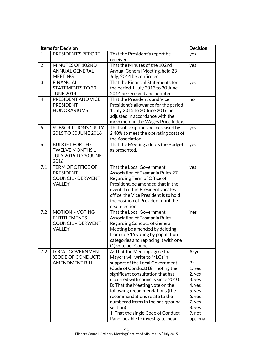|                | <b>Items for Decision</b>   |                                         | <b>Decision</b> |
|----------------|-----------------------------|-----------------------------------------|-----------------|
| $\mathbf{1}$   | PRESIDENT'S REPORT          | That the President's report be          | yes             |
|                |                             | received.                               |                 |
| $\overline{2}$ | MINUTES OF 102ND            | That the Minutes of the 102nd           | yes             |
|                | <b>ANNUAL GENERAL</b>       | Annual General Meeting, held 23         |                 |
|                | <b>MEETING</b>              | July, 2014 be confirmed.                |                 |
| 3              | <b>FINANCIAL</b>            | That the Financial Statements for       | yes             |
|                | <b>STATEMENTS TO 30</b>     | the period 1 July 2013 to 30 June       |                 |
|                | <b>JUNE 2014</b>            | 2014 be received and adopted.           |                 |
| $\overline{4}$ | PRESIDENT AND VICE          | That the President's and Vice           | no              |
|                | <b>PRESIDENT</b>            | President's allowance for the period    |                 |
|                | <b>HONORARIUMS</b>          | 1 July 2015 to 30 June 2016 be          |                 |
|                |                             | adjusted in accordance with the         |                 |
|                |                             | movement in the Wages Price Index.      |                 |
| 5              | <b>SUBSCRIPTIONS 1 JULY</b> | That subscriptions be increased by      | yes             |
|                | 2015 TO 30 JUNE 2016        | 2.48% to meet the operating costs of    |                 |
|                |                             | the Association.                        |                 |
| 6              | <b>BUDGET FOR THE</b>       | That the Meeting adopts the Budget      | yes             |
|                | <b>TWELVE MONTHS 1</b>      | as presented.                           |                 |
|                | <b>JULY 2015 TO 30 JUNE</b> |                                         |                 |
|                | 2016                        |                                         |                 |
| 7.1            | <b>TERM OF OFFICE OF</b>    | That the Local Government               | yes             |
|                | <b>PRESIDENT</b>            | <b>Association of Tasmania Rules 27</b> |                 |
|                | <b>COUNCIL - DERWENT</b>    | Regarding Term of Office of             |                 |
|                | <b>VALLEY</b>               | President, be amended that in the       |                 |
|                |                             | event that the President vacates        |                 |
|                |                             | office, the Vice President is to hold   |                 |
|                |                             | the position of President until the     |                 |
|                |                             | next election.                          |                 |
| 7.2            | <b>MOTION - VOTING</b>      | That the Local Government               | Yes             |
|                | <b>ENTITLEMENTS</b>         | Association of Tasmania Rules           |                 |
|                | <b>COUNCIL - DERWENT</b>    | <b>Regarding Conduct of General</b>     |                 |
|                | <b>VALLEY</b>               | Meeting be amended by deleting          |                 |
|                |                             | from rule 16 voting by population       |                 |
|                |                             | categories and replacing it with one    |                 |
|                |                             | (1) vote per Council.                   |                 |
| 7.2            | <b>LOCAL GOVERNMENT</b>     | A: That the Meeting agree that          | A: yes          |
|                | (CODE OF CONDUCT)           | Mayors will write to MLCs in            |                 |
|                | <b>AMENDMENT BILL</b>       | support of the Local Government         | B:              |
|                |                             | (Code of Conduct) Bill, noting the      | 1. yes          |
|                |                             | significant consultation that has       | 2. yes          |
|                |                             | occurred with councils since 2010.      | 3. yes          |
|                |                             | B: That the Meeting vote on the         | 4. yes          |
|                |                             | following recommendations (the          | 5. yes          |
|                |                             | recommendations relate to the           | 6. yes          |
|                |                             | numbered items in the background        | 7. yes          |
|                |                             | section):                               | 8. yes          |
|                |                             | 1. That the single Code of Conduct      | 9. not          |
|                |                             | Panel be able to investigate, hear      | optional        |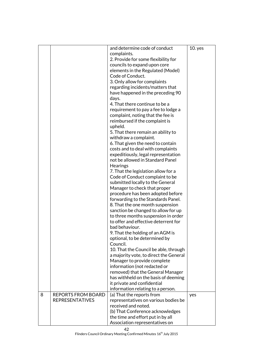|   |                           | and determine code of conduct                               | $10.$ yes |
|---|---------------------------|-------------------------------------------------------------|-----------|
|   |                           | complaints.                                                 |           |
|   |                           | 2. Provide for some flexibility for                         |           |
|   |                           | councils to expand upon core                                |           |
|   |                           | elements in the Regulated (Model)                           |           |
|   |                           | Code of Conduct.                                            |           |
|   |                           | 3. Only allow for complaints                                |           |
|   |                           | regarding incidents/matters that                            |           |
|   |                           | have happened in the preceding 90                           |           |
|   |                           | days.                                                       |           |
|   |                           | 4. That there continue to be a                              |           |
|   |                           | requirement to pay a fee to lodge a                         |           |
|   |                           | complaint, noting that the fee is                           |           |
|   |                           | reimbursed if the complaint is                              |           |
|   |                           | upheld.                                                     |           |
|   |                           | 5. That there remain an ability to                          |           |
|   |                           | withdraw a complaint.                                       |           |
|   |                           | 6. That given the need to contain                           |           |
|   |                           | costs and to deal with complaints                           |           |
|   |                           | expeditiously, legal representation                         |           |
|   |                           | not be allowed in Standard Panel                            |           |
|   |                           | Hearings                                                    |           |
|   |                           | 7. That the legislation allow for a                         |           |
|   |                           | Code of Conduct complaint to be                             |           |
|   |                           | submitted locally to the General                            |           |
|   |                           | Manager to check that proper                                |           |
|   |                           | procedure has been adopted before                           |           |
|   |                           | forwarding to the Standards Panel.                          |           |
|   |                           | 8. That the one month suspension                            |           |
|   |                           | sanction be changed to allow for up                         |           |
|   |                           | to three months suspension in order                         |           |
|   |                           | to offer and effective deterrent for                        |           |
|   |                           | bad behaviour.                                              |           |
|   |                           | 9. That the holding of an AGM is                            |           |
|   |                           | optional, to be determined by                               |           |
|   |                           | Council.                                                    |           |
|   |                           | 10. That the Council be able, through                       |           |
|   |                           | a majority vote, to direct the General                      |           |
|   |                           |                                                             |           |
|   |                           | Manager to provide complete<br>information (not redacted or |           |
|   |                           |                                                             |           |
|   |                           | removed) that the General Manager                           |           |
|   |                           | has withheld on the basis of deeming                        |           |
|   |                           | it private and confidential                                 |           |
|   |                           | information relating to a person.                           |           |
| 8 | <b>REPORTS FROM BOARD</b> | (a) That the reports from                                   | yes       |
|   | <b>REPRESENTATIVES</b>    | representatives on various bodies be                        |           |
|   |                           | received and noted.                                         |           |
|   |                           | (b) That Conference acknowledges                            |           |
|   |                           | the time and effort put in by all                           |           |
|   |                           | Association representatives on                              |           |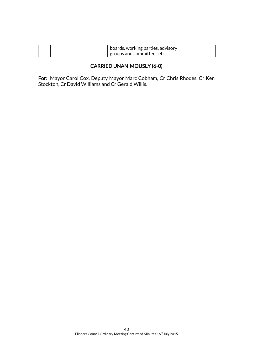| $\perp$ boards, working parties, advisory |  |
|-------------------------------------------|--|
| groups and committees etc.                |  |

# CARRIED UNANIMOUSLY (6-0)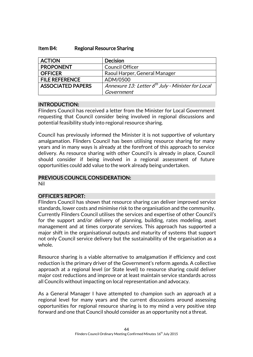#### Item B4: Regional Resource Sharing

| <b>ACTION</b>            | <b>Decision</b>                                               |
|--------------------------|---------------------------------------------------------------|
| <b>PROPONENT</b>         | <b>Council Officer</b>                                        |
| <b>OFFICER</b>           | Raoul Harper, General Manager                                 |
| <b>FILE REFERENCE</b>    | ADM/0500                                                      |
| <b>ASSOCIATED PAPERS</b> | Annexure 13: Letter 6 <sup>th</sup> July - Minister for Local |
|                          | Government                                                    |

#### INTRODUCTION:

Flinders Council has received a letter from the Minister for Local Government requesting that Council consider being involved in regional discussions and potential feasibility study into regional resource sharing.

Council has previously informed the Minister it is not supportive of voluntary amalgamation. Flinders Council has been utilising resource sharing for many years and in many ways is already at the forefront of this approach to service delivery. As resource sharing with other Council's is already in place, Council should consider if being involved in a regional assessment of future opportunities could add value to the work already being undertaken.

# PREVIOUS COUNCIL CONSIDERATION:

Nil

# OFFICER'S REPORT:

Flinders Council has shown that resource sharing can deliver improved service standards, lower costs and minimise risk to the organisation and the community. Currently Flinders Council utilises the services and expertise of other Council's for the support and/or delivery of planning, building, rates modeling, asset management and at times corporate services. This approach has supported a major shift in the organisational outputs and maturity of systems that support not only Council service delivery but the sustainability of the organisation as a whole.

Resource sharing is a viable alternative to amalgamation if efficiency and cost reduction is the primary driver of the Government's reform agenda. A collective approach at a regional level (or State level) to resource sharing could deliver major cost reductions and improve or at least maintain service standards across all Councils without impacting on local representation and advocacy.

As a General Manager I have attempted to champion such an approach at a regional level for many years and the current discussions around assessing opportunities for regional resource sharing is to my mind a very positive step forward and one that Council should consider as an opportunity not a threat.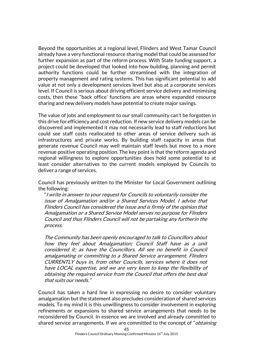Beyond the opportunities at a regional level, Flinders and West Tamar Council already have a very functional resource sharing model that could be assessed for further expansion as part of the reform process. With State funding support, a project could be developed that looked into how building, planning and permit authority functions could be further streamlined with the integration of property management and rating systems. This has significant potential to add value at not only a development services level but also at a corporate services level. If Council is serious about driving efficient service delivery and minimising costs, then these "back office' functions are areas where expanded resource sharing and new delivery models have potential to create major savings.

The value of jobs and employment to our small community can't be forgotten in this drive for efficiency and cost reduction. If new service delivery models can be discovered and implemented it may not necessarily lead to staff reductions but could see staff costs reallocated to other areas of service delivery such as infrastructures and private works. By building staff capacity in areas that generate revenue Council may well maintain staff levels but move to a more revenue positive operating position. The key point is that the reform agenda and regional willingness to explore opportunities does hold some potential to at least consider alternatives to the current models employed by Councils to deliver a range of services.

Council has previously written to the Minister for Local Government outlining the following:

"I write in answer to your request for Councils to voluntarily consider the issue of Amalgamation and/or a Shared Services Model. I advise that Flinders Council has considered the issue and is firmly of the opinion that Amalgamation or a Shared Service Model serves no purpose for Flinders Council and thus Flinders Council will not be partaking any furtherin the process.

The Community has been openly encouraged to talk to Councillors about how they feel about Amalgamation; Council Staff have as a unit considered it; as have the Councillors. All see no benefit in Council amalgamating or committing to a Shared Service arrangement. Flinders CURRENTLY buys in, from other Councils, services where it does not have LOCAL expertise, and we are very keen to keep the flexibility of obtaining the required service from the Council that offers the best deal that suits our needs."

Council has taken a hard line in expressing no desire to consider voluntary amalgamation but the statement also precludes consideration of shared services models. To my mind it is this unwillingness to consider involvement in exploring refinements or expansions to shared service arrangements that needs to be reconsidered by Council. In essence we are involved and already committed to shared service arrangements. If we are committed to the concept of "*obtaining*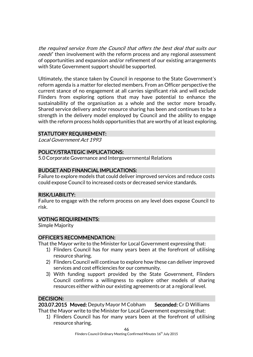the required service from the Council that offers the best deal that suits our needs" then involvement with the reform process and any regional assessment of opportunities and expansion and/or refinement of our existing arrangements with State Government support should be supported.

Ultimately, the stance taken by Council in response to the State Government's reform agenda is a matter for elected members. From an Officer perspective the current stance of no engagement at all carries significant risk and will exclude Flinders from exploring options that may have potential to enhance the sustainability of the organisation as a whole and the sector more broadly. Shared service delivery and/or resource sharing has been and continues to be a strength in the delivery model employed by Council and the ability to engage with the reform process holds opportunities that are worthy of at least exploring.

# STATUTORY REQUIREMENT:

Local Government Act 1993

# POLICY/STRATEGIC IMPLICATIONS:

5.0 Corporate Governance and Intergovernmental Relations

# BUDGET AND FINANCIAL IMPLICATIONS:

Failure to explore models that could deliver improved services and reduce costs could expose Council to increased costs or decreased service standards.

#### RISK/LIABILITY:

Failure to engage with the reform process on any level does expose Council to risk.

#### VOTING REQUIREMENTS:

Simple Majority

#### OFFICER'S RECOMMENDATION:

That the Mayor write to the Minister for Local Government expressing that:

- 1) Flinders Council has for many years been at the forefront of utilising resource sharing.
- 2) Flinders Council will continue to explore how these can deliver improved services and cost efficiencies for our community.
- 3) With funding support provided by the State Government, Flinders Council confirms a willingness to explore other models of sharing resources either within our existing agreements or at a regional level.

# DECISION:

203.07.2015 Moved: Deputy Mayor M Cobham Seconded: Cr D Williams That the Mayor write to the Minister for Local Government expressing that:

1) Flinders Council has for many years been at the forefront of utilising resource sharing.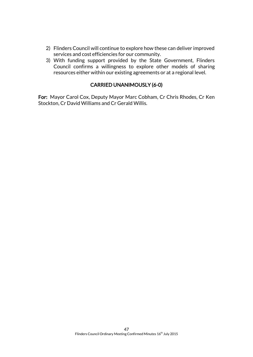- 2) Flinders Council will continue to explore how these can deliver improved services and cost efficiencies for our community.
- 3) With funding support provided by the State Government, Flinders Council confirms a willingness to explore other models of sharing resources either within our existing agreements or at a regional level.

# CARRIED UNANIMOUSLY (6-0)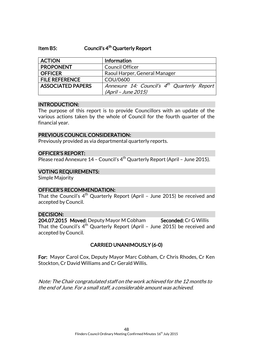# Item B5: Council's 4<sup>th</sup> Quarterly Report

| <b>ACTION</b>            | <b>Information</b>                                      |
|--------------------------|---------------------------------------------------------|
| <b>PROPONENT</b>         | <b>Council Officer</b>                                  |
| <b>OFFICER</b>           | Raoul Harper, General Manager                           |
| <b>FILE REFERENCE</b>    | COU/0600                                                |
| <b>ASSOCIATED PAPERS</b> | Annexure 14: Council's 4 <sup>th</sup> Quarterly Report |
|                          | (April - June 2015)                                     |

#### INTRODUCTION:

The purpose of this report is to provide Councillors with an update of the various actions taken by the whole of Council for the fourth quarter of the financial year.

#### PREVIOUS COUNCIL CONSIDERATION:

Previously provided as via departmental quarterly reports.

#### OFFICER'S REPORT:

Please read Annexure 14 – Council's  $4<sup>th</sup>$  Quarterly Report (April – June 2015).

#### VOTING REQUIREMENTS:

Simple Majority

#### OFFICER'S RECOMMENDATION:

That the Council's  $4^{\text{th}}$  Quarterly Report (April - June 2015) be received and accepted by Council.

#### DECISION:

204.07.2015 Moved: Deputy Mayor M Cobham Seconded: Cr G Willis That the Council's  $4^{\text{th}}$  Quarterly Report (April - June 2015) be received and accepted by Council.

# CARRIED UNANIMOUSLY (6-0)

For: Mayor Carol Cox, Deputy Mayor Marc Cobham, Cr Chris Rhodes, Cr Ken Stockton, Cr David Williams and Cr Gerald Willis.

Note: The Chair congratulated staff on the work achieved for the 12 months to the end of June. For a small staff, a considerable amount was achieved.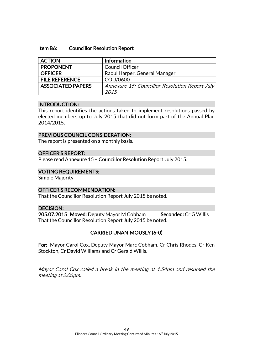#### Item B6: Councillor Resolution Report

| <b>ACTION</b>            | Information                                    |
|--------------------------|------------------------------------------------|
| <b>PROPONENT</b>         | <b>Council Officer</b>                         |
| <b>OFFICER</b>           | Raoul Harper, General Manager                  |
| <b>FILE REFERENCE</b>    | COU/0600                                       |
| <b>ASSOCIATED PAPERS</b> | Annexure 15: Councillor Resolution Report July |
|                          | 2015                                           |

#### INTRODUCTION:

This report identifies the actions taken to implement resolutions passed by elected members up to July 2015 that did not form part of the Annual Plan 2014/2015.

#### PREVIOUS COUNCIL CONSIDERATION:

The report is presented on a monthly basis.

#### OFFICER'S REPORT:

Please read Annexure 15 – Councillor Resolution Report July 2015.

#### VOTING REQUIREMENTS:

Simple Majority

# OFFICER'S RECOMMENDATION:

That the Councillor Resolution Report July 2015 be noted.

#### DECISION:

205.07.2015 Moved: Deputy Mayor M Cobham Seconded: Cr G Willis That the Councillor Resolution Report July 2015 be noted.

# CARRIED UNANIMOUSLY (6-0)

For: Mayor Carol Cox, Deputy Mayor Marc Cobham, Cr Chris Rhodes, Cr Ken Stockton, Cr David Williams and Cr Gerald Willis.

Mayor Carol Cox called a break in the meeting at 1.54pm and resumed the meeting at 2.06pm.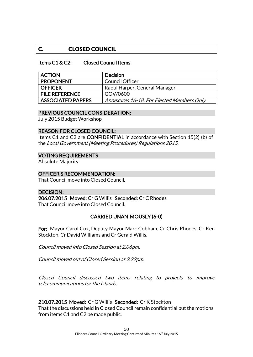# **C. CLOSED COUNCIL**

#### Items C1 & C2: Closed Council Items

| <b>ACTION</b>         | <b>Decision</b>                           |
|-----------------------|-------------------------------------------|
| <b>PROPONENT</b>      | Council Officer                           |
| <b>OFFICER</b>        | Raoul Harper, General Manager             |
| <b>FILE REFERENCE</b> | GOV/0600                                  |
| ASSOCIATED PAPERS     | Annexures 16-18: For Elected Members Only |

#### PREVIOUS COUNCIL CONSIDERATION:

July 2015 Budget Workshop

#### REASON FOR CLOSED COUNCIL:

Items C1 and C2 are CONFIDENTIAL in accordance with Section 15(2) (b) of the Local Government (Meeting Procedures) Regulations 2015.

#### VOTING REQUIREMENTS

Absolute Majority

#### OFFICER'S RECOMMENDATION:

That Council move into Closed Council.

# DECISION: 206.07.2015 Moved: Cr G Willis Seconded: Cr C Rhodes That Council move into Closed Council.

# CARRIED UNANIMOUSLY (6-0)

For: Mayor Carol Cox, Deputy Mayor Marc Cobham, Cr Chris Rhodes, Cr Ken Stockton, Cr David Williams and Cr Gerald Willis.

Council moved into Closed Session at 2.06pm.

Council moved out of Closed Session at 2.22pm.

Closed Council discussed two items relating to projects to improve telecommunications for the Islands.

# 210.07.2015 Moved: Cr G Willis Seconded: Cr K Stockton

That the discussions held in Closed Council remain confidential but the motions from items C1 and C2 be made public.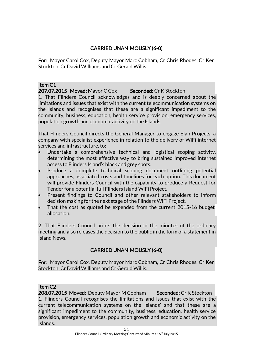# CARRIED UNANIMOUSLY (6-0)

For: Mayor Carol Cox, Deputy Mayor Marc Cobham, Cr Chris Rhodes, Cr Ken Stockton, Cr David Williams and Cr Gerald Willis.

#### Item C1

207.07.2015 Moved: Mayor C Cox Seconded: Cr K Stockton

1. That Flinders Council acknowledges and is deeply concerned about the limitations and issues that exist with the current telecommunication systems on the Islands and recognises that these are a significant impediment to the community, business, education, health service provision, emergency services, population growth and economic activity on the Islands.

That Flinders Council directs the General Manager to engage Elan Projects, a company with specialist experience in relation to the delivery of WiFi internet services and infrastructure, to:

- Undertake a comprehensive technical and logistical scoping activity, determining the most effective way to bring sustained improved internet access to Flinders Island's black and grey spots.
- Produce a complete technical scoping document outlining potential approaches, associated costs and timelines for each option. This document will provide Flinders Council with the capability to produce a Request for Tender for a potential full Flinders Island WiFi Project.
- Present findings to Council and other relevant stakeholders to inform decision making for the next stage of the Flinders WiFi Project.
- That the cost as quoted be expended from the current 2015-16 budget allocation.

2. That Flinders Council prints the decision in the minutes of the ordinary meeting and also releases the decision to the public in the form of a statement in Island News.

# CARRIED UNANIMOUSLY (6-0)

For: Mayor Carol Cox, Deputy Mayor Marc Cobham, Cr Chris Rhodes, Cr Ken Stockton, Cr David Williams and Cr Gerald Willis.

# Item C2

208.07.2015 Moved: Deputy Mayor M Cobham Seconded: Cr K Stockton 1. Flinders Council recognises the limitations and issues that exist with the current telecommunication systems on the Islands' and that these are a significant impediment to the community, business, education, health service provision, emergency services, population growth and economic activity on the Islands.